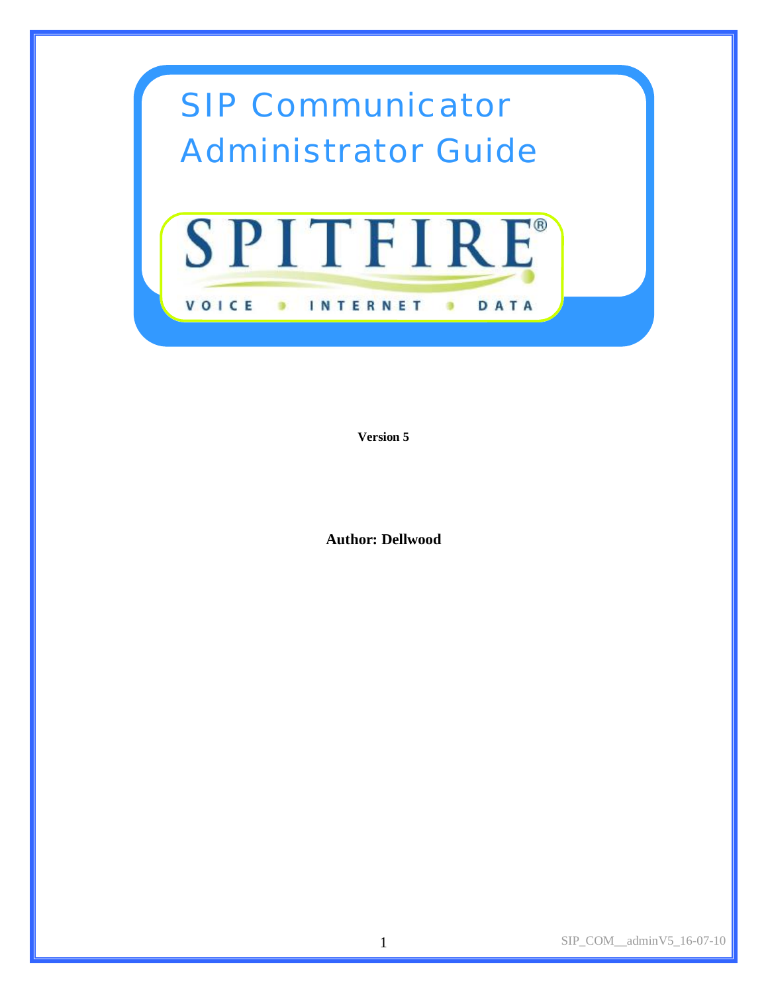

**Version 5** 

**Author: Dellwood**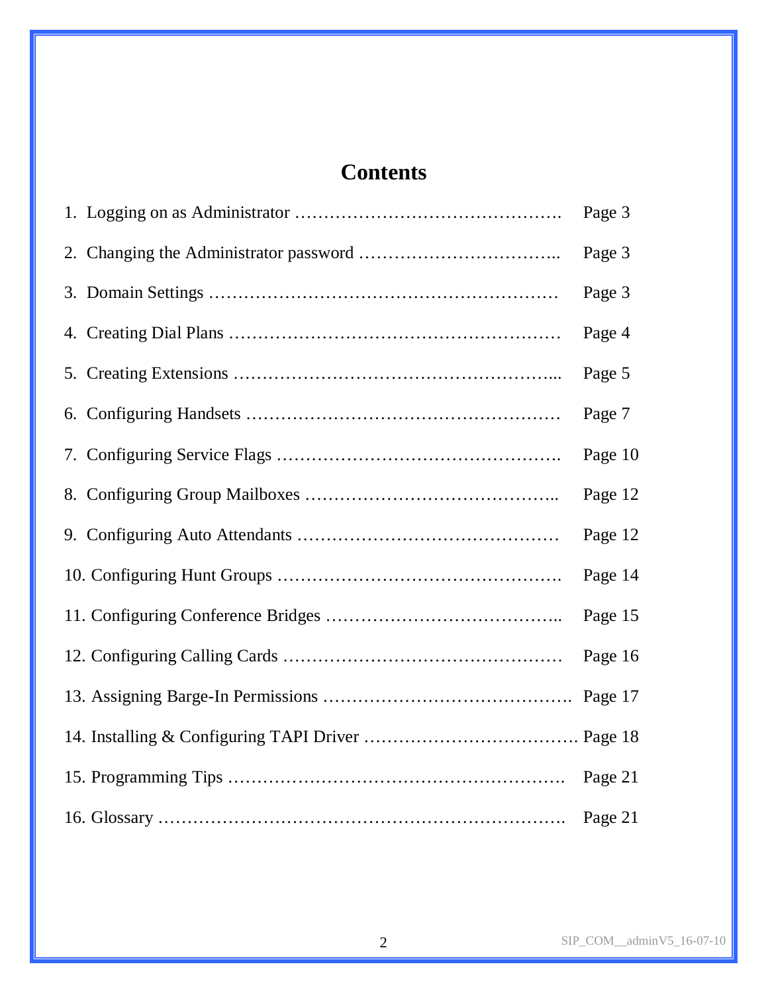# **Contents**

|  | Page 3  |
|--|---------|
|  | Page 3  |
|  | Page 3  |
|  | Page 4  |
|  | Page 5  |
|  | Page 7  |
|  | Page 10 |
|  | Page 12 |
|  | Page 12 |
|  | Page 14 |
|  | Page 15 |
|  | Page 16 |
|  |         |
|  |         |
|  | Page 21 |
|  |         |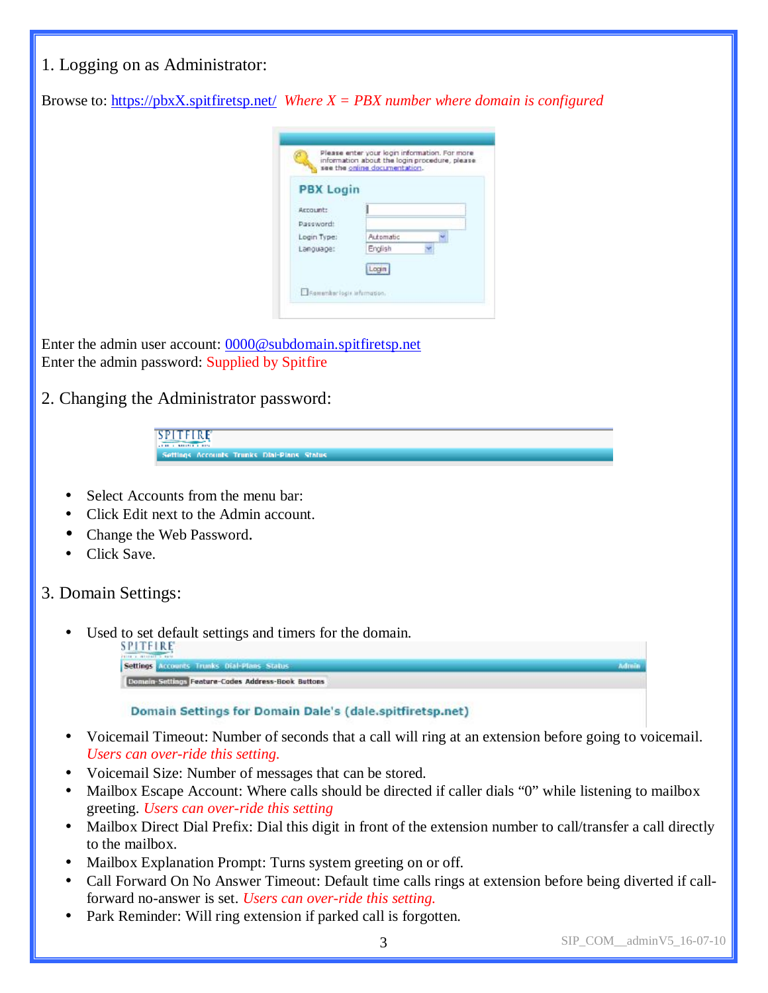| 1. Logging on as Administrator:                                                                                                                                                                                                                                             |
|-----------------------------------------------------------------------------------------------------------------------------------------------------------------------------------------------------------------------------------------------------------------------------|
| Browse to: https://pbxX.spitfiretsp.net/ Where $X = PBX$ number where domain is configured                                                                                                                                                                                  |
| Please enter your login information. For more<br>information about the login procedure, please<br>see the online documentation.<br><b>PBX Login</b><br>Account:<br>Password!<br>Login Type:<br>Automatic<br>English<br>Language:<br>Login<br>El Remember logis information. |
| Enter the admin user account: 0000@subdomain.spitfiretsp.net<br>Enter the admin password: Supplied by Spitfire                                                                                                                                                              |
| 2. Changing the Administrator password:                                                                                                                                                                                                                                     |
| SPITFIRE<br><b>STERLE E RIS</b><br>Settings Accounts Trunks Dial-Pians Status                                                                                                                                                                                               |
| Select Accounts from the menu bar:<br>Click Edit next to the Admin account.<br>Change the Web Password.<br>Click Save.                                                                                                                                                      |
| 3. Domain Settings:                                                                                                                                                                                                                                                         |
| Used to set default settings and timers for the domain.<br>SPITFIRE<br><b>GIRLS ALBERT</b><br>Settings Accounts Trunks Dial-Plans Status<br>Admin<br><b>Domain-Sattings Feature-Codes Address-Book Buttons</b>                                                              |
| Domain Settings for Domain Dale's (dale.spitfiretsp.net)                                                                                                                                                                                                                    |
| Voicemail Timeout: Number of seconds that a call will ring at an extension before going to voicemail.<br>Users can over-ride this setting.                                                                                                                                  |

- Voicemail Size: Number of messages that can be stored.
- Mailbox Escape Account: Where calls should be directed if caller dials "0" while listening to mailbox greeting. *Users can over-ride this setting*
- Mailbox Direct Dial Prefix: Dial this digit in front of the extension number to call/transfer a call directly to the mailbox.
- Mailbox Explanation Prompt: Turns system greeting on or off.
- Call Forward On No Answer Timeout: Default time calls rings at extension before being diverted if callforward no-answer is set. *Users can over-ride this setting.*
- Park Reminder: Will ring extension if parked call is forgotten.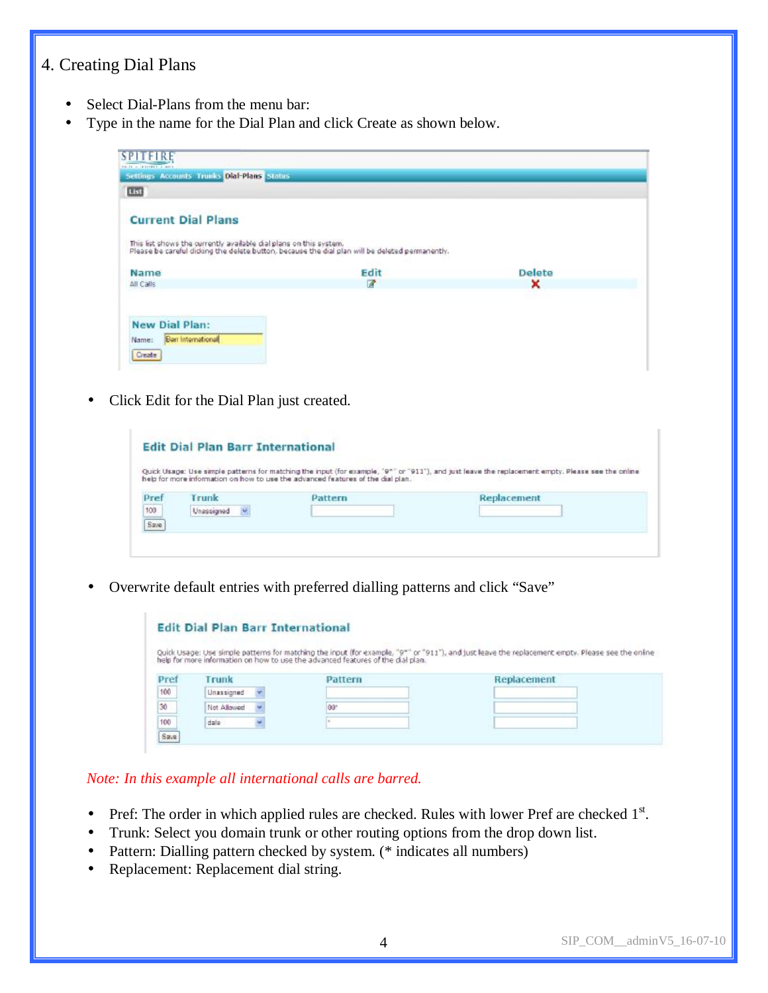# 4. Creating Dial Plans

- Select Dial-Plans from the menu bar:
- Type in the name for the Dial Plan and click Create as shown below.

| List                                                               |                                                                                                |               |
|--------------------------------------------------------------------|------------------------------------------------------------------------------------------------|---------------|
| <b>Current Dial Plans</b>                                          |                                                                                                |               |
|                                                                    |                                                                                                |               |
| This list shows the ourrently available dialiplans on this system. | Please be careful didong the delate button, because the dial plan will be deleted permanently. |               |
|                                                                    |                                                                                                | <b>Delete</b> |
| Name<br>All Calls                                                  | Edit<br>$\mathbb{Z}$                                                                           | ×             |
|                                                                    |                                                                                                |               |

• Click Edit for the Dial Plan just created.

|                           |            | help for more information on how to use the advanced features of the dial plan. | Quick Usage: Use simple patterns for matching the input (for example, '9"" or "911"), and just leave the replacement empty. Please see the online |
|---------------------------|------------|---------------------------------------------------------------------------------|---------------------------------------------------------------------------------------------------------------------------------------------------|
| Pref                      | Trunk      | Pattern                                                                         | Replacement                                                                                                                                       |
| $\frac{100}{\text{Save}}$ | Unassigned |                                                                                 |                                                                                                                                                   |
|                           |            |                                                                                 |                                                                                                                                                   |

• Overwrite default entries with preferred dialling patterns and click "Save"

|      |             |         | Quick Usage: Use simple patterns for matching the input (for example, "9"" or "911"), and just leave the replacement empty. Please see the online<br>help for more information on how to use the advanced features of the dial pl |
|------|-------------|---------|-----------------------------------------------------------------------------------------------------------------------------------------------------------------------------------------------------------------------------------|
|      |             |         |                                                                                                                                                                                                                                   |
| Pref | Trunk       | Pattern | Replacement                                                                                                                                                                                                                       |
| 100  | Unassigned  |         |                                                                                                                                                                                                                                   |
|      | Not Allowed | 00°     |                                                                                                                                                                                                                                   |
| 30   |             |         |                                                                                                                                                                                                                                   |

*Note: In this example all international calls are barred.*

- Pref: The order in which applied rules are checked. Rules with lower Pref are checked  $1<sup>st</sup>$ .
- Trunk: Select you domain trunk or other routing options from the drop down list.
- Pattern: Dialling pattern checked by system. (\* indicates all numbers)
- Replacement: Replacement dial string.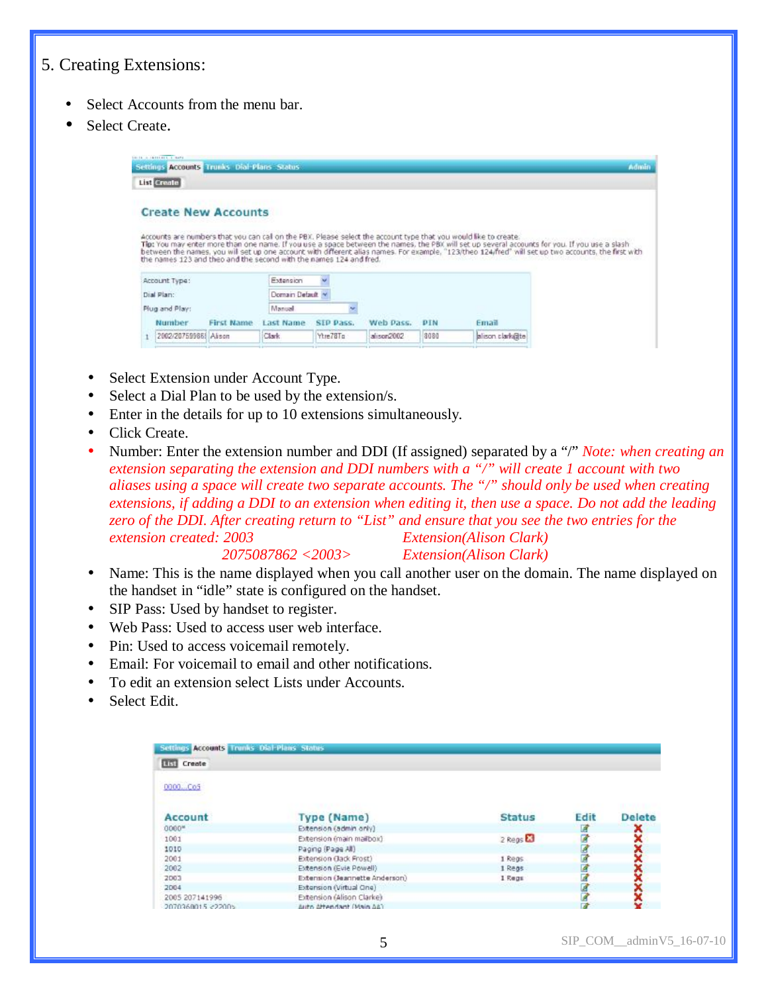# 5. Creating Extensions:

- Select Accounts from the menu bar.
- Select Create.



- Select Extension under Account Type.
- Select a Dial Plan to be used by the extension/s.
- Enter in the details for up to 10 extensions simultaneously.
- Click Create.
- Number: Enter the extension number and DDI (If assigned) separated by a "/" *Note: when creating an extension separating the extension and DDI numbers with a "/" will create 1 account with two aliases using a space will create two separate accounts. The "/" should only be used when creating extensions, if adding a DDI to an extension when editing it, then use a space. Do not add the leading*  zero of the DDI. After creating return to "List" and ensure that you see the two entries for the *extension created: 2003 Extension(Alison Clark)*

*2075087862 <2003> Extension(Alison Clark)* 

- Name: This is the name displayed when you call another user on the domain. The name displayed on the handset in "idle" state is configured on the handset.
- SIP Pass: Used by handset to register.
- Web Pass: Used to access user web interface.
- Pin: Used to access voicemail remotely.
- Email: For voicemail to email and other notifications.
- To edit an extension select Lists under Accounts.
- Select Edit.

| Settings Accounts Trunks Dial-Plans Status |                                |                     |             |               |
|--------------------------------------------|--------------------------------|---------------------|-------------|---------------|
| <b>Hill Create</b>                         |                                |                     |             |               |
| 0000Co5                                    |                                |                     |             |               |
| Account                                    | Type (Name)                    | <b>Status</b>       | Edit        | <b>Delete</b> |
| $0000*$                                    | Extension (admin only)         |                     | ₫           | č             |
| 1001                                       | Extension (main mailbox)       | 2 Regs <sup>2</sup> | <b>RADA</b> |               |
| 1010                                       | Paging (Page All)              |                     |             |               |
| 2001                                       | Extension (Jack Frost)         | 1 Regs              |             |               |
| 2002                                       | Extension (Evie Powell)        | 1 Reas              | ø           |               |
| 2003                                       | Extension (Jeannette Anderson) | 1 Regs              | ø           |               |
| 2004                                       | Extension (Virtual One)        |                     |             |               |
| 2005 207141996                             | Extension (Alison Clarke)      |                     |             |               |
| 2070360015 <22005                          | Auto Attendant (Main AA)       |                     |             |               |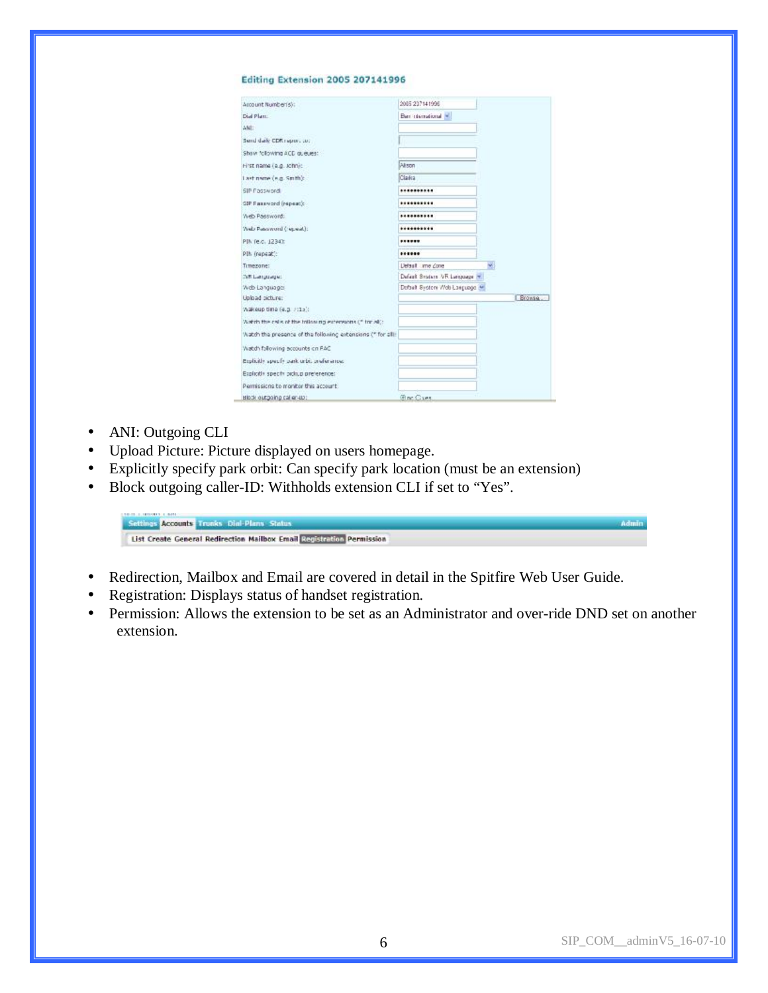#### Editing Extension 2005 207141996

| Account Number(s):                                          | 2005 237141996                |               |
|-------------------------------------------------------------|-------------------------------|---------------|
| Died Plant:                                                 | Barr identificant will        |               |
| ANI:                                                        |                               |               |
| Send dark CDR report to:                                    |                               |               |
| Show following ACD guess:                                   |                               |               |
| Hirst name (e.g. John):                                     | Alson                         |               |
| Last name (e.g. Smth):                                      | Class                         |               |
| SIP Password                                                | **********                    |               |
| SIP Password (repeat):                                      | **********                    |               |
| Web Password:                                               |                               |               |
| Web Paterword (repeat):                                     |                               |               |
| PIN fe.c. 1234):                                            |                               |               |
| PIN (repeat):                                               |                               |               |
| Timezone:                                                   | Detailt ime Zone              | N,            |
| ISB Language:                                               | Default Bratain AR Language m |               |
| Web Languages                                               | Dofbelt Sydem Web Longuage M  |               |
| Upload picture:                                             |                               | <b>Ergwse</b> |
| Wakeup time (e.g. 7:15):                                    |                               |               |
| Watch the calls of the billioning extersions (" for all):   |                               |               |
| Watch the presence of the following extensions (" for all). |                               |               |
| DAS no education privote child                              |                               |               |
| Explicitly specify park orbit preferences.                  |                               |               |
| Explicitly specify pickup preference:                       |                               |               |
| Permissions to monitor this account.                        |                               |               |
| Highly outgoing call en-up;                                 | <b>Ging Cives</b>             |               |

- ANI: Outgoing CLI
- Upload Picture: Picture displayed on users homepage.
- Explicitly specify park orbit: Can specify park location (must be an extension)
- Block outgoing caller-ID: Withholds extension CLI if set to "Yes".

| Settings Accounts Trunks Dial-Plans Status                            |  |
|-----------------------------------------------------------------------|--|
| List Create General Redirection Mailbox Email Registration Permission |  |

- Redirection, Mailbox and Email are covered in detail in the Spitfire Web User Guide.
- Registration: Displays status of handset registration.
- Permission: Allows the extension to be set as an Administrator and over-ride DND set on another extension.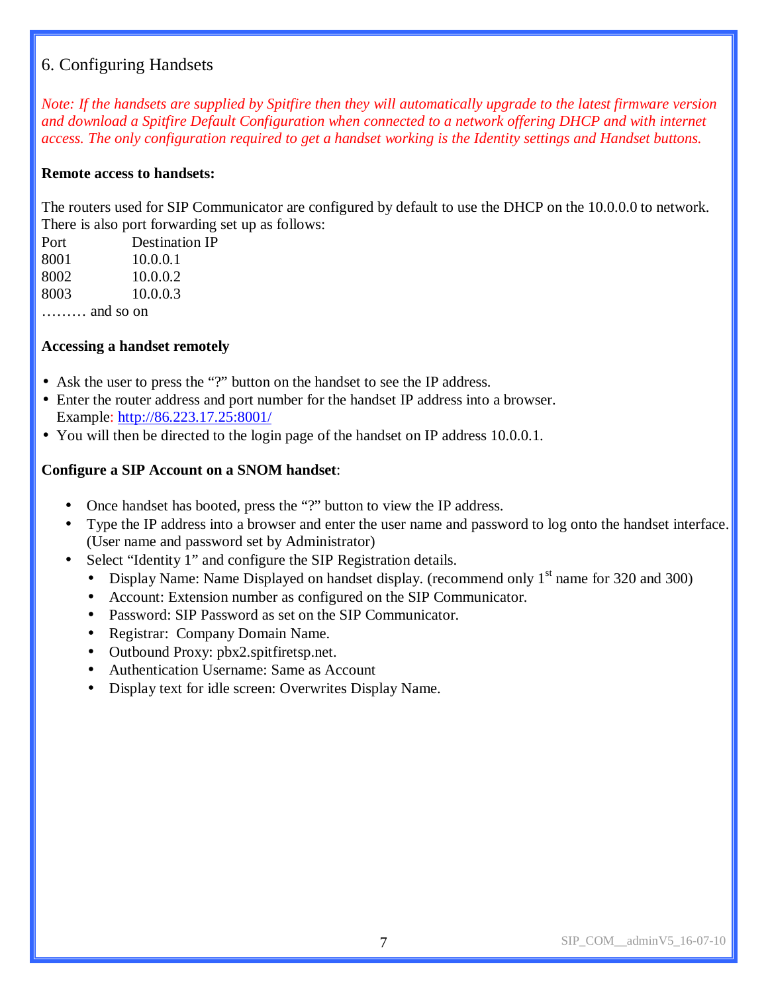# 6. Configuring Handsets

Note: If the handsets are supplied by Spitfire then they will automatically upgrade to the latest firmware version *and download a Spitfire Default Configuration when connected to a network offering DHCP and with internet access. The only configuration required to get a handset working is the Identity settings and Handset buttons.* 

## **Remote access to handsets:**

The routers used for SIP Communicator are configured by default to use the DHCP on the 10.0.0.0 to network. There is also port forwarding set up as follows:

| Port               | <b>Destination IP</b> |
|--------------------|-----------------------|
| 8001               | 10.0.0.1              |
| 8002               | 10.0.0.2              |
| 8003               | 10.0.0.3              |
| $\ldots$ and so on |                       |

## **Accessing a handset remotely**

- Ask the user to press the "?" button on the handset to see the IP address.
- Enter the router address and port number for the handset IP address into a browser. Example: <http://86.223.17.25:8001/>
- You will then be directed to the login page of the handset on IP address 10.0.0.1.

### **Configure a SIP Account on a SNOM handset**:

- Once handset has booted, press the "?" button to view the IP address.
- Type the IP address into a browser and enter the user name and password to log onto the handset interface. (User name and password set by Administrator)
- Select "Identity 1" and configure the SIP Registration details.
	- Display Name: Name Displayed on handset display. (recommend only  $1<sup>st</sup>$  name for 320 and 300)
	- Account: Extension number as configured on the SIP Communicator.
	- Password: SIP Password as set on the SIP Communicator.
	- Registrar: Company Domain Name.
	- Outbound Proxy: pbx2.spitfiretsp.net.
	- Authentication Username: Same as Account
	- Display text for idle screen: Overwrites Display Name.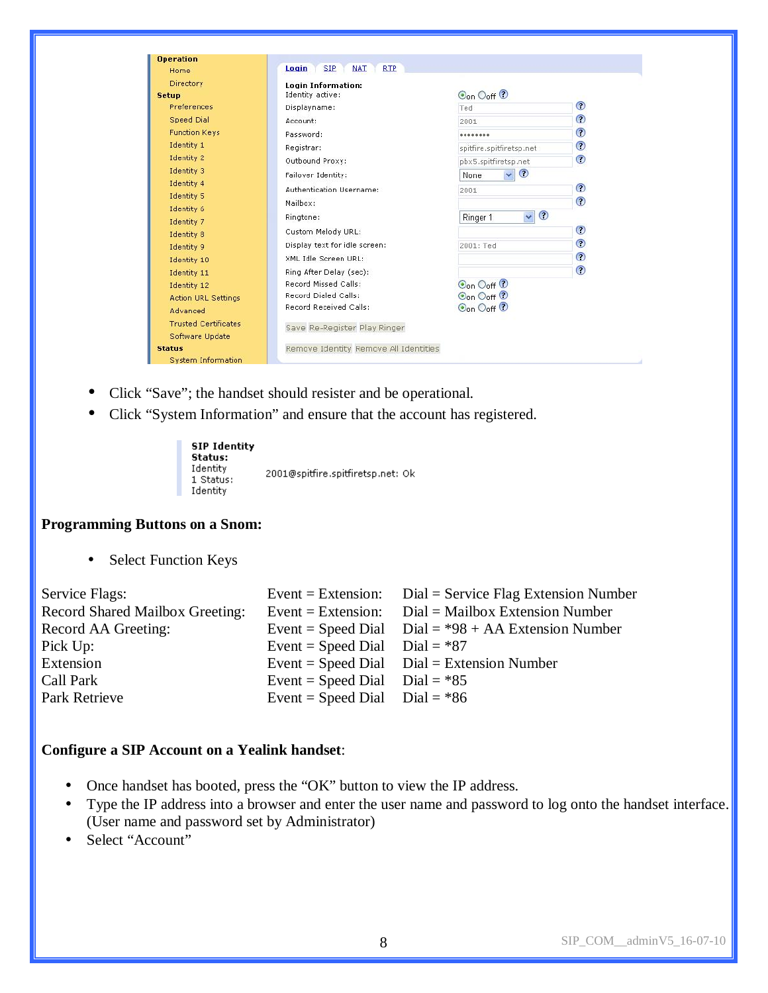| <b>Operation</b>            |                                                 |                                            |            |
|-----------------------------|-------------------------------------------------|--------------------------------------------|------------|
| Home                        | <b>SIP</b><br><b>NAT</b><br><b>RTP</b><br>Login |                                            |            |
| Directory                   | <b>Login Information:</b>                       |                                            |            |
| Setup                       | Identity active:                                | Oon Ooff ?                                 |            |
| Preferences                 | Displayname:                                    | Ted                                        | $_{\odot}$ |
| <b>Speed Dial</b>           | Account:                                        | 2001                                       | $_{\odot}$ |
| <b>Function Keys</b>        | Password:                                       |                                            | ⊙          |
| Identity 1                  | Registrar:                                      | spitfire.spitfiretsp.net                   | $\odot$    |
| Identity 2                  | Outbound Proxy:                                 | pbx5.spitfiretsp.net                       | $_{\odot}$ |
| Identity 3                  | Failover Identity:                              | $\odot$<br>$\overline{\mathbf{v}}$<br>None |            |
| Identity 4                  | Authentication Username:                        | 2001                                       | ⊙          |
| Identity 5                  |                                                 |                                            | $\odot$    |
| Identity 6                  | Mailbox:                                        |                                            |            |
| Identity 7                  | Ringtone:                                       | $_{\odot}$<br>$\checkmark$<br>Ringer 1     |            |
| Identity 8                  | Custom Melody URL:                              |                                            | $_{\odot}$ |
| Identity 9                  | Display text for idle screen:                   | 2001: Ted                                  | $\odot$    |
| Identity 10                 | XML Idle Screen URL:                            |                                            | $_{\odot}$ |
| Identity 11                 | Ring After Delay (sec):                         |                                            | $_{\odot}$ |
| Identity 12                 | Record Missed Calls:                            | Oon Ooff <sup>1</sup>                      |            |
| <b>Action URL Settings</b>  | Record Dialed Calls:                            | $\odot$ <sub>on</sub> $\odot$ off $\odot$  |            |
| Advanced                    | Record Received Calls:                          | Oon Ooff ?                                 |            |
| <b>Trusted Certificates</b> | Save Re-Register Play Ringer                    |                                            |            |
| Software Update             |                                                 |                                            |            |
| <b>Status</b>               | Remove Identity Remove All Identities           |                                            |            |
| <b>System Information</b>   |                                                 |                                            |            |

- Click "Save"; the handset should resister and be operational.
- Click "System Information" and ensure that the account has registered.

| <b>SIP Identity</b><br>Status:<br>Identity<br>1 Status:<br>Identity | 2001@spitfire.spitfiretsp.net: Ok |  |
|---------------------------------------------------------------------|-----------------------------------|--|
|---------------------------------------------------------------------|-----------------------------------|--|

#### **Programming Buttons on a Snom:**

• Select Function Keys

| Service Flags:                         |                                 | Event = Extension: $Dial = Service Flag$ Extension Number |
|----------------------------------------|---------------------------------|-----------------------------------------------------------|
| <b>Record Shared Mailbox Greeting:</b> |                                 | Event = Extension: $Dial = Mailbox Extension Number$      |
| Record AA Greeting:                    |                                 | Event = Speed Dial $Dial = *98 + AA$ Extension Number     |
| Pick Up:                               | Event = Speed Dial Dial = $*87$ |                                                           |
| Extension                              |                                 | Event = Speed Dial $Dial = Extension$ Number              |
| Call Park                              | Event = Speed Dial Dial = $*85$ |                                                           |
| Park Retrieve                          | Event = Speed Dial Dial = $*86$ |                                                           |

## **Configure a SIP Account on a Yealink handset**:

- Once handset has booted, press the "OK" button to view the IP address.
- Type the IP address into a browser and enter the user name and password to log onto the handset interface. (User name and password set by Administrator)
- Select "Account"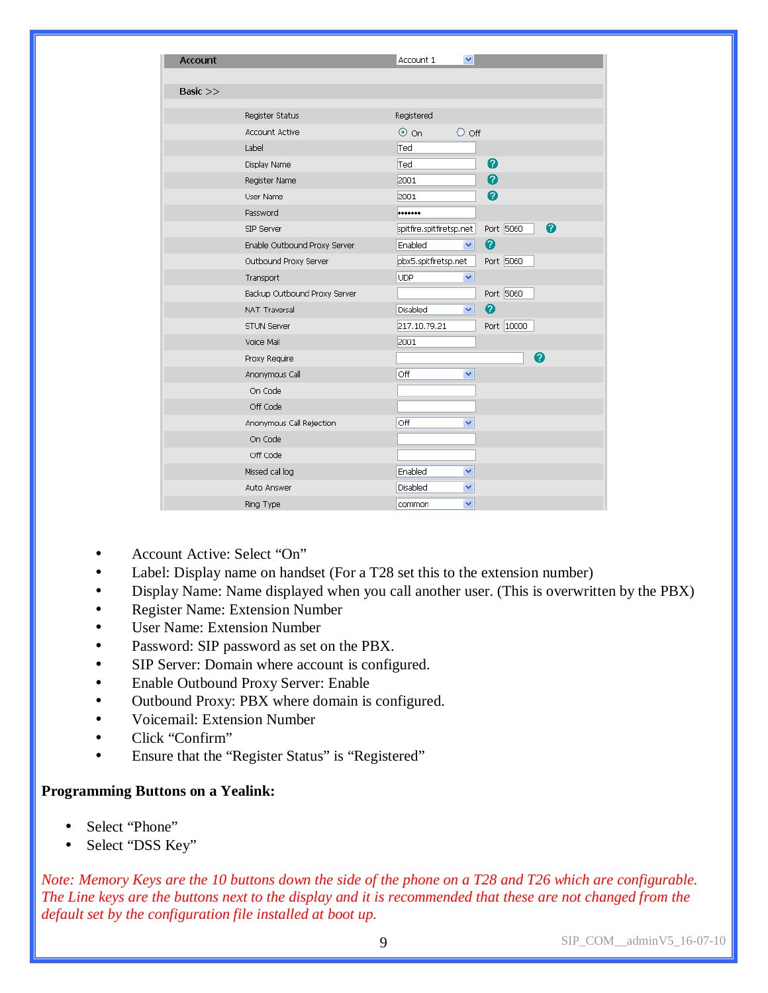| <b>Account</b> |                              | Account 1<br>×                             |
|----------------|------------------------------|--------------------------------------------|
|                |                              |                                            |
| Basic $>>$     |                              |                                            |
|                |                              |                                            |
|                | Register Status              | Registered                                 |
|                | <b>Account Active</b>        | $\odot$ on<br>$\circ$ off                  |
|                | Label                        | Ted                                        |
|                | Display Name                 | 0<br>Ted                                   |
|                | Register Name                | $\ddot{\mathbf{0}}$<br>2001                |
|                | User Name                    | Ø<br>2001                                  |
|                | Password                     |                                            |
|                | SIP Server                   | 0<br>Port 5060<br>spitfire.spitfiretsp.net |
|                | Enable Outbound Proxy Server | 0<br>Enabled<br>$\checkmark$               |
|                | Outbound Proxy Server        | Port 5060<br>pbx5.spitfiretsp.net          |
|                | Transport                    | <b>UDP</b><br>×                            |
|                | Backup Outbound Proxy Server | Port 5060                                  |
|                | <b>NAT Traversal</b>         | 0<br>Disabled<br>×                         |
|                | <b>STUN Server</b>           | Port 10000<br>217.10.79.21                 |
|                | Voice Mail                   | 2001                                       |
|                | Proxy Require                | Q                                          |
|                | Anonymous Call               | Off<br>٧                                   |
|                | On Code                      |                                            |
|                | Off Code                     |                                            |
|                | Anonymous Call Rejection     | Off<br>v                                   |
|                | On Code                      |                                            |
|                | Off Code                     |                                            |
|                | Missed call log              | Enabled<br>٧                               |
|                | Auto Answer                  | Disabled<br>v                              |
|                | Ring Type                    | common<br>v                                |

- Account Active: Select "On"
- Label: Display name on handset (For a T28 set this to the extension number)
- Display Name: Name displayed when you call another user. (This is overwritten by the PBX)
- Register Name: Extension Number
- User Name: Extension Number
- Password: SIP password as set on the PBX.
- SIP Server: Domain where account is configured.
- Enable Outbound Proxy Server: Enable
- Outbound Proxy: PBX where domain is configured.
- Voicemail: Extension Number
- Click "Confirm"
- Ensure that the "Register Status" is "Registered"

#### **Programming Buttons on a Yealink:**

- Select "Phone"
- Select "DSS Key"

Note: Memory Keys are the 10 buttons down the side of the phone on a T28 and T26 which are configurable. The Line keys are the buttons next to the display and it is recommended that these are not changed from the *default set by the configuration file installed at boot up.* 

9 SIP\_COM\_\_adminV5\_16-07-10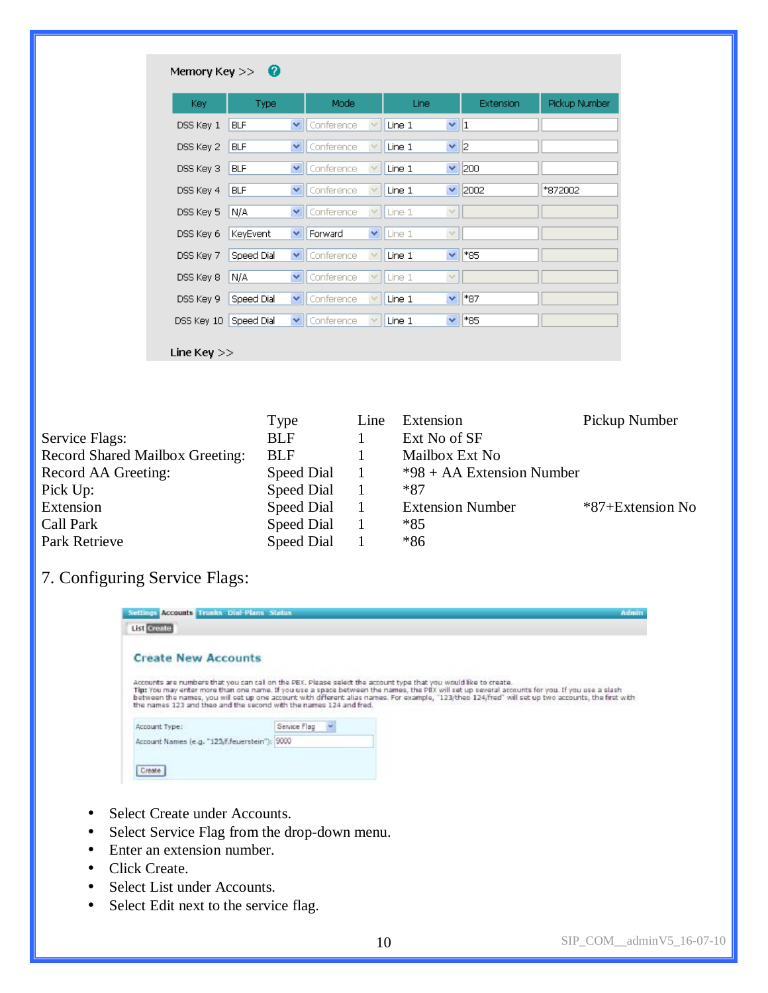| Key.       | Type       |   | Mode       |              | Line   |        | Extension      | Pickup Number |
|------------|------------|---|------------|--------------|--------|--------|----------------|---------------|
| DSS Key 1  | <b>BLF</b> | M | Conference | $\lor$       | Line 1 | v  1   |                |               |
| DSS Key 2  | <b>BLF</b> | M | Conference |              | Line 1 | v  2   |                |               |
| DSS Key 3  | <b>BLF</b> | × | Conference | $\vee$       | Line 1 | Y.     | 200            |               |
| DSS Key 4  | <b>BLF</b> | × | Conference | $\checkmark$ | Line 1 | Y.     | 2002           | *872002       |
| DSS Key 5  | N/A        | v | Conference | $\lor$       | Line 1 | $\vee$ |                |               |
| DSS Key 6  | KeyEvent   | × | Forward    | ×            | Line 1 | $\lor$ |                |               |
| DSS Key 7  | Speed Dial | × | Conference | $\checkmark$ | Line 1 | ×.     | *85            |               |
| DSS Key 8  | N/A        | × | Conference | $\checkmark$ | Line 1 | $\lor$ |                |               |
| DSS Key 9  | Speed Dial | × | Conference | $\vee$       | Line 1 | $\vee$ | <sup>*87</sup> |               |
| DSS Key 10 | Speed Dial | × | Conference | $\vee$       | Line 1 | v      | *85            |               |

|                                        | Type       | Line | Extension                   | Pickup Number    |
|----------------------------------------|------------|------|-----------------------------|------------------|
| Service Flags:                         | <b>BLF</b> |      | Ext No of SF                |                  |
| <b>Record Shared Mailbox Greeting:</b> | <b>BLF</b> |      | Mailbox Ext No              |                  |
| Record AA Greeting:                    | Speed Dial |      | $*98 + AA$ Extension Number |                  |
| Pick Up:                               | Speed Dial |      | *87                         |                  |
| Extension                              | Speed Dial |      | <b>Extension Number</b>     | *87+Extension No |
| Call Park                              | Speed Dial |      | *85                         |                  |
| Park Retrieve                          | Speed Dial |      | $*86$                       |                  |

# 7. Configuring Service Flags:

| Settings Accounts Trunks Dial-Plans Status                                                                                                                                                                                                                                                                                                                                                                                                                                                                                   |              |  | Admin |
|------------------------------------------------------------------------------------------------------------------------------------------------------------------------------------------------------------------------------------------------------------------------------------------------------------------------------------------------------------------------------------------------------------------------------------------------------------------------------------------------------------------------------|--------------|--|-------|
| List Create                                                                                                                                                                                                                                                                                                                                                                                                                                                                                                                  |              |  |       |
| <b>Create New Accounts</b><br>Accounts are numbers that you can cal on the PBX. Please select the account type that you would like to create.<br>Tip: You may enter more than one name. If you use a space between the names, the PBX will set up several accounts for you. If you use a slash<br>between the names, you will set up one account with different alias names. For example, "123/theo 124/fred" will set up two accounts, the first with<br>the names 123 and theo and the second with the names 124 and fred. |              |  |       |
| Account Type:                                                                                                                                                                                                                                                                                                                                                                                                                                                                                                                | Service Flag |  |       |
| Account Names (e.g. "123/f, feuerstein"):  9000                                                                                                                                                                                                                                                                                                                                                                                                                                                                              |              |  |       |
|                                                                                                                                                                                                                                                                                                                                                                                                                                                                                                                              |              |  |       |

- Select Create under Accounts.
- Select Service Flag from the drop-down menu.
- Enter an extension number.
- Click Create.
- Select List under Accounts.
- Select Edit next to the service flag.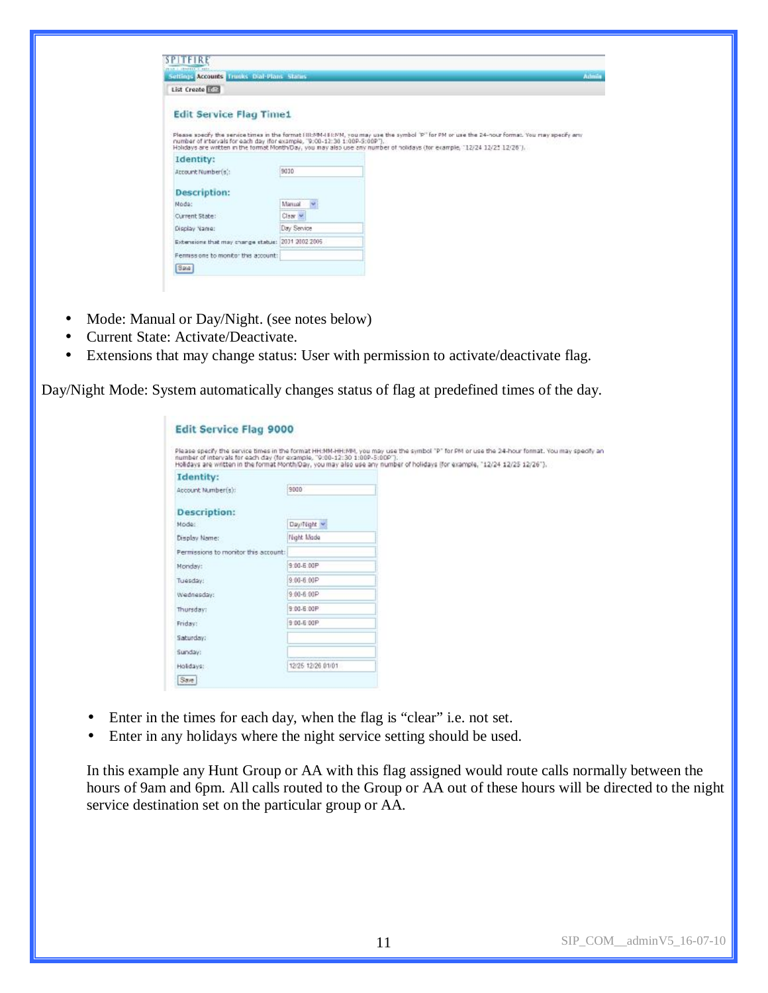| Seltings Accounts Trucks Dial-Plans Status        |                                                                                                                                                                                                                                                                                                                                                          |  |
|---------------------------------------------------|----------------------------------------------------------------------------------------------------------------------------------------------------------------------------------------------------------------------------------------------------------------------------------------------------------------------------------------------------------|--|
| List Create [177]                                 |                                                                                                                                                                                                                                                                                                                                                          |  |
| <b>Edit Service Flag Time1</b>                    | Please specify the service times in the format (III:MM-IE:MM, you may use the symbol 'P" for PM or use the 24-nour format. You may specify any<br>number of intervals for each day (for example, '9:00-12:30 1:00P-5:00P').<br>Holidays are written in the formst Month/Day, you may also use any number of holidays (for example, "12/24 12/25 12/26"). |  |
| Identity:                                         |                                                                                                                                                                                                                                                                                                                                                          |  |
| Account Number(s):                                | 9010                                                                                                                                                                                                                                                                                                                                                     |  |
| <b>Description:</b>                               |                                                                                                                                                                                                                                                                                                                                                          |  |
| Node:                                             | Manual w                                                                                                                                                                                                                                                                                                                                                 |  |
| Current State:                                    | Claar M                                                                                                                                                                                                                                                                                                                                                  |  |
| Display Name:                                     | Day Service                                                                                                                                                                                                                                                                                                                                              |  |
|                                                   |                                                                                                                                                                                                                                                                                                                                                          |  |
| Extensions that may change status: 2011 2002 2005 |                                                                                                                                                                                                                                                                                                                                                          |  |
| Fenniss one to monitor this account:              |                                                                                                                                                                                                                                                                                                                                                          |  |

- Mode: Manual or Day/Night. (see notes below)
- Current State: Activate/Deactivate.
- Extensions that may change status: User with permission to activate/deactivate flag.

Day/Night Mode: System automatically changes status of flag at predefined times of the day.

| <b>Edit Service Flag 9000</b>        |                   |                                                                                                                                                                                                                                                                                                                                                       |
|--------------------------------------|-------------------|-------------------------------------------------------------------------------------------------------------------------------------------------------------------------------------------------------------------------------------------------------------------------------------------------------------------------------------------------------|
|                                      |                   | Please specify the service times in the format HH:MM-HH:MM, you may use the symbol "P" for PM or use the 24-hour format. You may specify an<br>number of intervals for each day (for example, "9:00-12:30 1:00P-5:00P").<br>Holidays are written in the format Month/Day, you may also use any number of holidays (for example, "12/24 12/25 12/26"). |
| Identity:                            |                   |                                                                                                                                                                                                                                                                                                                                                       |
| Account Mumber(s):                   | 9000              |                                                                                                                                                                                                                                                                                                                                                       |
| <b>Description:</b>                  |                   |                                                                                                                                                                                                                                                                                                                                                       |
| Mode:                                | Day/Night w       |                                                                                                                                                                                                                                                                                                                                                       |
| Display Name:                        | Night Made        |                                                                                                                                                                                                                                                                                                                                                       |
| Permissions to monitor this account: |                   |                                                                                                                                                                                                                                                                                                                                                       |
| Monday:                              | 9:00-6:00P        |                                                                                                                                                                                                                                                                                                                                                       |
| Tuesday:                             | $9:00 - 6:00P$    |                                                                                                                                                                                                                                                                                                                                                       |
| Wednesday:                           | $9:00 - 6:00P$    |                                                                                                                                                                                                                                                                                                                                                       |
| Thursday:                            | 9:00-6:00P        |                                                                                                                                                                                                                                                                                                                                                       |
| Friday:                              | 9:00-6:00P        |                                                                                                                                                                                                                                                                                                                                                       |
| Saturday:                            |                   |                                                                                                                                                                                                                                                                                                                                                       |
| Sunday:                              |                   |                                                                                                                                                                                                                                                                                                                                                       |
| Holidays:                            | 12/25 12/26 01/01 |                                                                                                                                                                                                                                                                                                                                                       |
| Save:                                |                   |                                                                                                                                                                                                                                                                                                                                                       |

- Enter in the times for each day, when the flag is "clear" i.e. not set.
- Enter in any holidays where the night service setting should be used.

In this example any Hunt Group or AA with this flag assigned would route calls normally between the hours of 9am and 6pm. All calls routed to the Group or AA out of these hours will be directed to the night service destination set on the particular group or AA.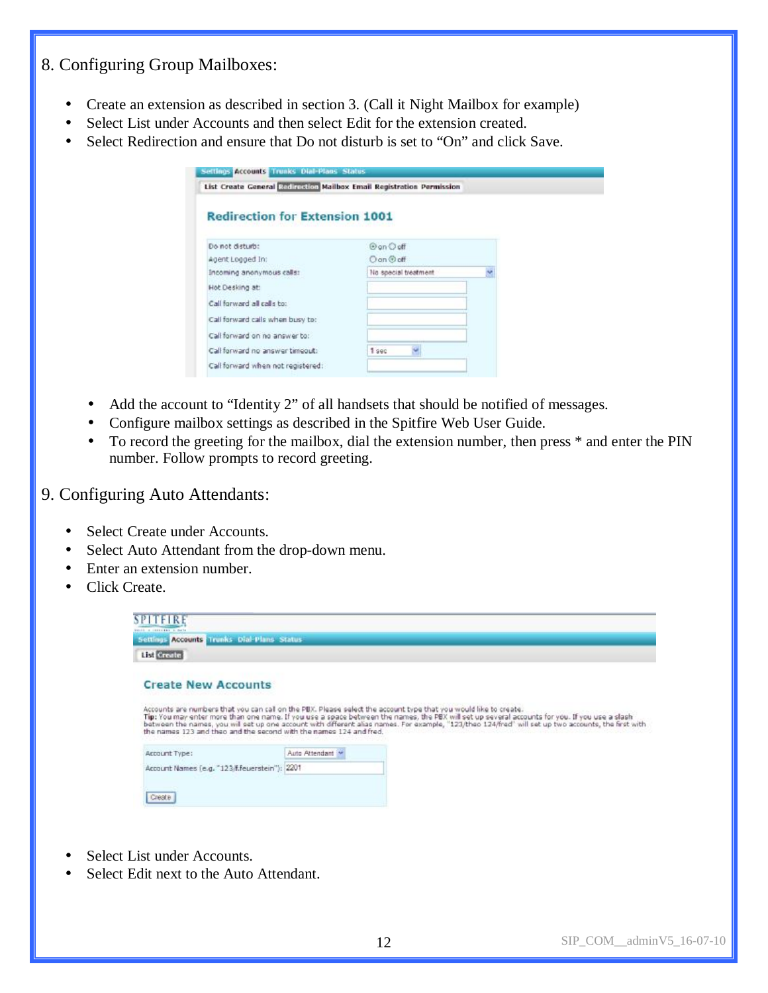# 8. Configuring Group Mailboxes:

- Create an extension as described in section 3. (Call it Night Mailbox for example)
- Select List under Accounts and then select Edit for the extension created.
- Select Redirection and ensure that Do not disturb is set to "On" and click Save.

| <b>Redirection for Extension 1001</b> |                               |   |
|---------------------------------------|-------------------------------|---|
| Do not disturb:                       | <b><i><u>@an Ooff</u></i></b> |   |
| Agent Logged In:                      | O on @ off                    |   |
| Incoming anonymous calls:             | No special treatment.         | M |
| Hot Desking at:                       |                               |   |
| Call forward all calls to:            |                               |   |
| Call forward calls when busy to:      |                               |   |
| Call forward on no answer to:         |                               |   |
| Call forward no answer timeout:       | Ψ<br>1 990                    |   |
| Call forward when not registered:     |                               |   |

- Add the account to "Identity 2" of all handsets that should be notified of messages.
- Configure mailbox settings as described in the Spitfire Web User Guide.
- To record the greeting for the mailbox, dial the extension number, then press  $*$  and enter the PIN number. Follow prompts to record greeting.

## 9. Configuring Auto Attendants:

- Select Create under Accounts.
- Select Auto Attendant from the drop-down menu.
- Enter an extension number.
- Click Create.

| <b>SPITFIRE</b><br><b>Poncial of Location Ave., In Monte</b> |                                                                    |                                                                                                                                                                                                                                                                                                                                                                                                                           |
|--------------------------------------------------------------|--------------------------------------------------------------------|---------------------------------------------------------------------------------------------------------------------------------------------------------------------------------------------------------------------------------------------------------------------------------------------------------------------------------------------------------------------------------------------------------------------------|
| Settings Accounts Trunks Dial-Plans Status                   |                                                                    |                                                                                                                                                                                                                                                                                                                                                                                                                           |
| List Create                                                  |                                                                    |                                                                                                                                                                                                                                                                                                                                                                                                                           |
| <b>Create New Accounts</b>                                   |                                                                    |                                                                                                                                                                                                                                                                                                                                                                                                                           |
|                                                              | the names 123 and theo and the second with the names 124 and fred. | Accounts are numbers that you can call on the PBX. Please select the account type that you would like to create.<br>Tip: You may enter more than one name. If you use a space between the names, the PBX will set up several accounts for you. If you use a slash<br>between the names, you will set up one account with different alias names. For example, "123/theo 124/fred" will set up two accounts, the first with |
| Account Type:                                                | Auto Attendant                                                     |                                                                                                                                                                                                                                                                                                                                                                                                                           |
| Account Names (e.g. "123/f.feuerstein"): 2201                |                                                                    |                                                                                                                                                                                                                                                                                                                                                                                                                           |
|                                                              |                                                                    |                                                                                                                                                                                                                                                                                                                                                                                                                           |
|                                                              |                                                                    |                                                                                                                                                                                                                                                                                                                                                                                                                           |

- Select List under Accounts.
- Select Edit next to the Auto Attendant.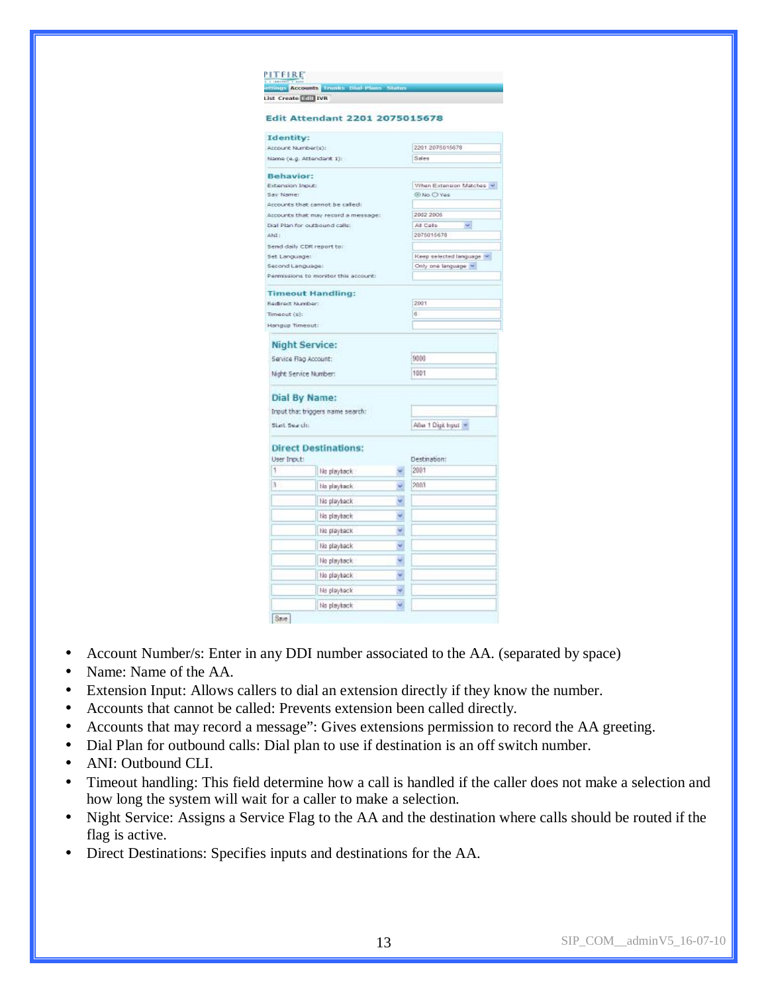| 1 T.L.<br>1011111                 | ettings Accounts Tranks Dial-Plans Status |    |                                               |
|-----------------------------------|-------------------------------------------|----|-----------------------------------------------|
| List Create <b>Elli</b> IVR       |                                           |    |                                               |
|                                   |                                           |    |                                               |
|                                   | <b>Edit Attendant 2201 2075015678</b>     |    |                                               |
| Identity:                         |                                           |    |                                               |
| Account Number(s):                |                                           |    | 2201 2075015678                               |
|                                   | Name (e.g. Attendant 1):                  |    | Sales                                         |
| <b>Behavior:</b>                  |                                           |    |                                               |
| Extension Input:                  |                                           |    | When Extension Matches W                      |
| Say Name:                         |                                           |    | <b>ENO O Yes</b>                              |
|                                   | Accounts that cannot be called:           |    |                                               |
|                                   | Accounts that may record a message:       |    | 2002 2005                                     |
|                                   | Dial Plan for outbound calls:             |    | All Calls<br>÷.                               |
| ANI:                              |                                           |    | 2075015678                                    |
|                                   | Send daily CDR report to:                 |    |                                               |
| Set Language:<br>Second Language: |                                           |    | Keep selected language<br>Only one language ~ |
|                                   | Penmissions to monitor this account:      |    |                                               |
|                                   |                                           |    |                                               |
|                                   | <b>Timeout Handling:</b>                  |    |                                               |
| Redirect Number:                  |                                           |    | 2001                                          |
| Timeout (s):                      |                                           |    | ë                                             |
| Hangup Timeout:                   |                                           |    |                                               |
|                                   | <b>Night Service:</b>                     |    |                                               |
| Service Flag Account:             |                                           |    | 9000                                          |
|                                   |                                           |    |                                               |
|                                   | Night Service Number:                     |    | 1001                                          |
|                                   |                                           |    |                                               |
|                                   | Dial By Name:                             |    |                                               |
|                                   | Input that trippers name search:          |    |                                               |
| Start Search:                     |                                           |    | After 1 Digit Input  *                        |
|                                   |                                           |    |                                               |
|                                   | <b>Direct Destinations:</b>               |    |                                               |
| User Input:                       |                                           |    | Destination:                                  |
| 1                                 | No playback                               |    | 2001                                          |
| $\overline{3}$                    | No playback                               | v  | 2003                                          |
|                                   | No playback                               | Ÿ  |                                               |
|                                   | No playback                               | ų  |                                               |
|                                   | No playback                               | ÿ. |                                               |
|                                   | No playback                               | Y  |                                               |
|                                   | No playback                               | ×  |                                               |
|                                   | No playback                               | ۷  |                                               |
|                                   | No playback                               | ×, |                                               |
|                                   | No playback                               | ٠  |                                               |
| Save                              |                                           |    |                                               |
|                                   |                                           |    |                                               |

- Account Number/s: Enter in any DDI number associated to the AA. (separated by space)
- Name: Name of the AA.
- Extension Input: Allows callers to dial an extension directly if they know the number.
- Accounts that cannot be called: Prevents extension been called directly.

**PITEIRE** 

- Accounts that may record a message": Gives extensions permission to record the AA greeting.
- Dial Plan for outbound calls: Dial plan to use if destination is an off switch number.
- ANI: Outbound CLI.
- Timeout handling: This field determine how a call is handled if the caller does not make a selection and how long the system will wait for a caller to make a selection.
- Night Service: Assigns a Service Flag to the AA and the destination where calls should be routed if the flag is active.
- Direct Destinations: Specifies inputs and destinations for the AA.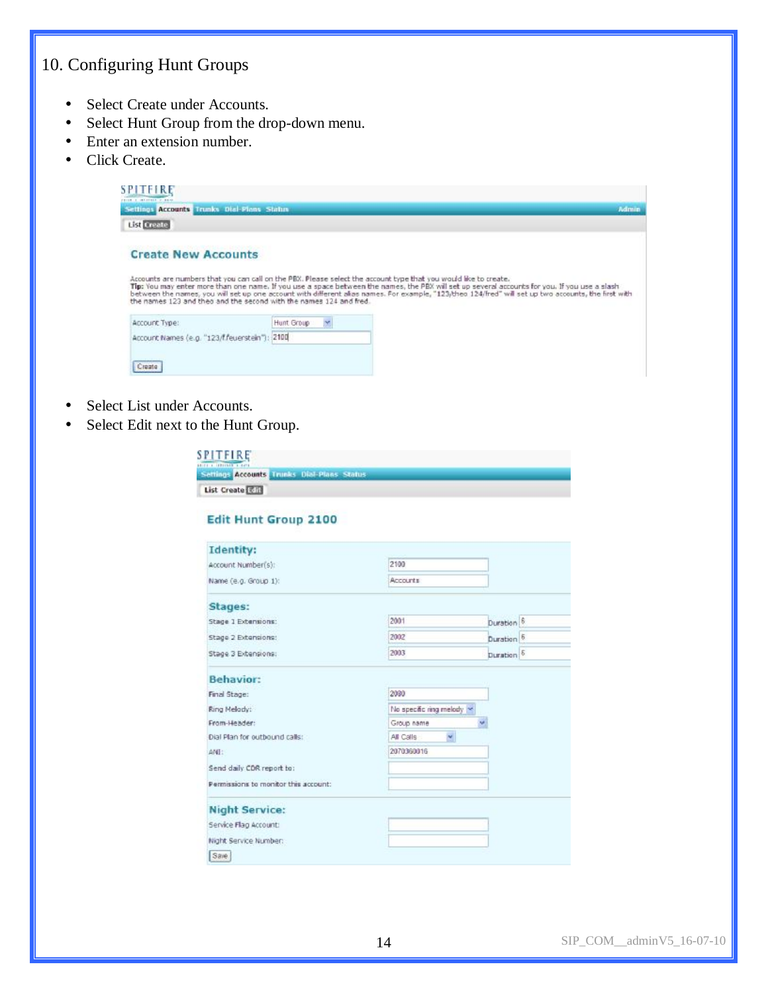# 10. Configuring Hunt Groups

- Select Create under Accounts.
- Select Hunt Group from the drop-down menu.
- Enter an extension number.
- Click Create.

| SPITFIRE<br>FRIDA & INSIDERED P. BAIN                                                                                                                                                                                                                                                                                                                                                                                                                                                           |            |  |       |
|-------------------------------------------------------------------------------------------------------------------------------------------------------------------------------------------------------------------------------------------------------------------------------------------------------------------------------------------------------------------------------------------------------------------------------------------------------------------------------------------------|------------|--|-------|
| Settings Accounts' Trunks Dial-Plans Status                                                                                                                                                                                                                                                                                                                                                                                                                                                     |            |  | Admin |
| <b>List</b> Create                                                                                                                                                                                                                                                                                                                                                                                                                                                                              |            |  |       |
| <b>Create New Accounts</b>                                                                                                                                                                                                                                                                                                                                                                                                                                                                      |            |  |       |
| Accounts are numbers that you can call on the PBX. Please select the account type that you would like to create.<br>Tip: You may enter more than one name. If you use a space between the names, the PBX will set up several accounts for you. If you use a slash<br>between the names, you will set up one account with different alias names. For example, "123/theo 124/fred" will set up two accounts, the first with<br>the names 123 and theo and the second with the names 124 and fred. |            |  |       |
| Account Type:                                                                                                                                                                                                                                                                                                                                                                                                                                                                                   | Hunt Group |  |       |
| Account Names (e.g. "123/f/euerstein"): 2100                                                                                                                                                                                                                                                                                                                                                                                                                                                    |            |  |       |
|                                                                                                                                                                                                                                                                                                                                                                                                                                                                                                 |            |  |       |
| Crapta                                                                                                                                                                                                                                                                                                                                                                                                                                                                                          |            |  |       |

- Select List under Accounts.
- Select Edit next to the Hunt Group.

| <b>SPITFIRE</b><br>Store a composite a dura |                                             |
|---------------------------------------------|---------------------------------------------|
|                                             | Settings Accounts: Trunks Dial-Plans Status |
| List Create <b>Rift</b>                     |                                             |

#### Edit Hunt Group 2100

| <b>Identity:</b>                                              |                                                         |                       |  |
|---------------------------------------------------------------|---------------------------------------------------------|-----------------------|--|
| Account Number(s):                                            | 2100                                                    |                       |  |
| Name (e.g. Group 1):                                          | <b>Accounts</b>                                         |                       |  |
| Stages:                                                       |                                                         |                       |  |
| Stage 1 Extensions:                                           | 2001                                                    | Duration <sup>6</sup> |  |
| Stage 2 Extensions:                                           | 2002                                                    | Duration <sup>6</sup> |  |
| Stage 3 Extensions:                                           | 2003                                                    | Duration 6            |  |
| Ring Melady:<br>From-Header:<br>Dial Plan for outbound calls: | No specific ring melody<br>Group name<br>×<br>All Calls | M.                    |  |
|                                                               |                                                         |                       |  |
| ANE:                                                          | 2070360016                                              |                       |  |
| Send daily CDR report to:                                     |                                                         |                       |  |
| Permissions to monitor this account:                          |                                                         |                       |  |
| <b>Night Service:</b>                                         |                                                         |                       |  |
| Service Flag Account:                                         |                                                         |                       |  |
| Night Service Number:                                         |                                                         |                       |  |
| Save.                                                         |                                                         |                       |  |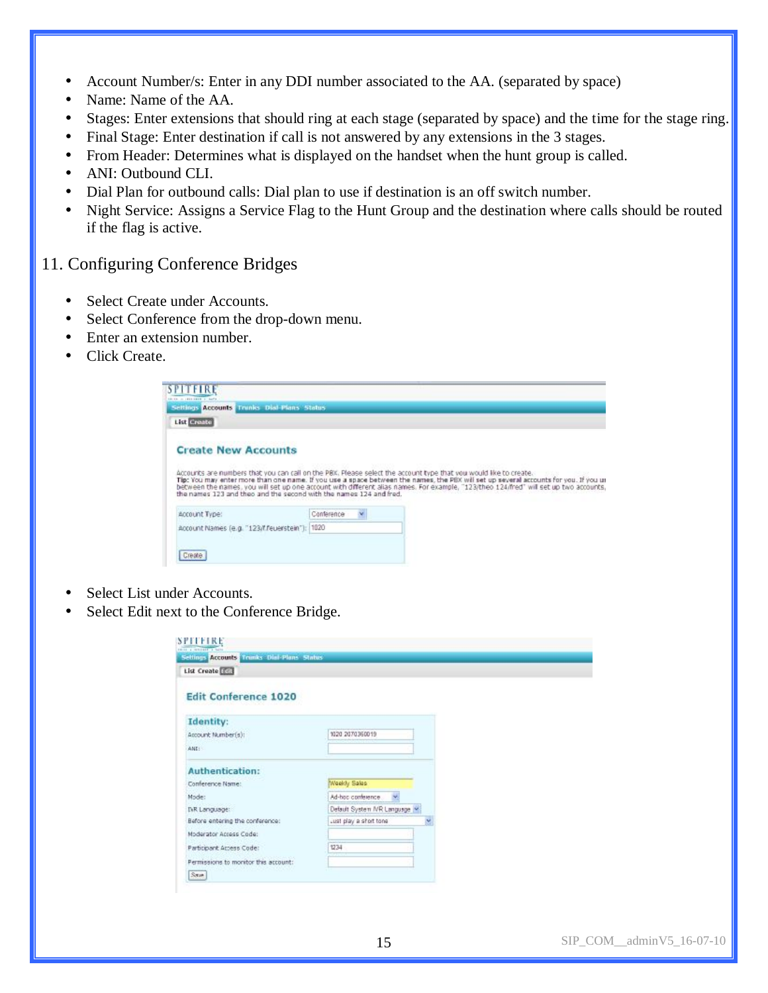- Account Number/s: Enter in any DDI number associated to the AA. (separated by space)
- Name: Name of the AA.
- Stages: Enter extensions that should ring at each stage (separated by space) and the time for the stage ring.
- Final Stage: Enter destination if call is not answered by any extensions in the 3 stages.
- From Header: Determines what is displayed on the handset when the hunt group is called.
- ANI: Outbound CLI.
- Dial Plan for outbound calls: Dial plan to use if destination is an off switch number.
- Night Service: Assigns a Service Flag to the Hunt Group and the destination where calls should be routed if the flag is active.

# 11. Configuring Conference Bridges

- Select Create under Accounts.
- Select Conference from the drop-down menu.
- Enter an extension number.
- Click Create.

| <b>SPITFIRE</b>                                                                                                                                                                                                                                                                                                                                                                                                                                                                                      |            |   |  |  |
|------------------------------------------------------------------------------------------------------------------------------------------------------------------------------------------------------------------------------------------------------------------------------------------------------------------------------------------------------------------------------------------------------------------------------------------------------------------------------------------------------|------------|---|--|--|
| <b>ALLEL IN 1975-1980 A 1977</b><br>Settings Accounts Trunks Dial-Plans Status                                                                                                                                                                                                                                                                                                                                                                                                                       |            |   |  |  |
| List Greate                                                                                                                                                                                                                                                                                                                                                                                                                                                                                          |            |   |  |  |
| <b>Create New Accounts</b><br>Accounts are numbers that you can call on the PBX. Please select the account type that you would like to create.<br>Tip: You may enter more than one name. If you use a space between the names, the PBX will set up several accounts for you. If you us<br>between the names, you will set up one account with different alias names. For example, "123/theo 124/fred" will set up two accounts<br>the names 123 and theo and the second with the names 124 and fred. |            |   |  |  |
| Account Type:                                                                                                                                                                                                                                                                                                                                                                                                                                                                                        | Conference | v |  |  |
| Account Names (e.g. "123/t feuerstein"); 1020                                                                                                                                                                                                                                                                                                                                                                                                                                                        |            |   |  |  |
| Create.                                                                                                                                                                                                                                                                                                                                                                                                                                                                                              |            |   |  |  |

- Select List under Accounts.
- Select Edit next to the Conference Bridge.

| Settings Accounts Tranks Dial-Plans Status |                            |   |
|--------------------------------------------|----------------------------|---|
| List Create [111]                          |                            |   |
| <b>Edit Conference 1020</b>                |                            |   |
| <b>Identity:</b>                           |                            |   |
| Account Number(s):                         | 1020 2070360019            |   |
| AND:                                       |                            |   |
| <b>Authentication:</b>                     |                            |   |
| Conference Name:                           | Weekly Sales               |   |
| Mode:                                      | Ad-hoc conference.         |   |
| INR Language:                              | Default System NR Language |   |
| Before entering the conference:            | Just play a short tone     | × |
| Moderator Access Code:                     |                            |   |
| Participant Access Code:                   | 1234                       |   |
| Permissions to monitor this account:       |                            |   |
|                                            |                            |   |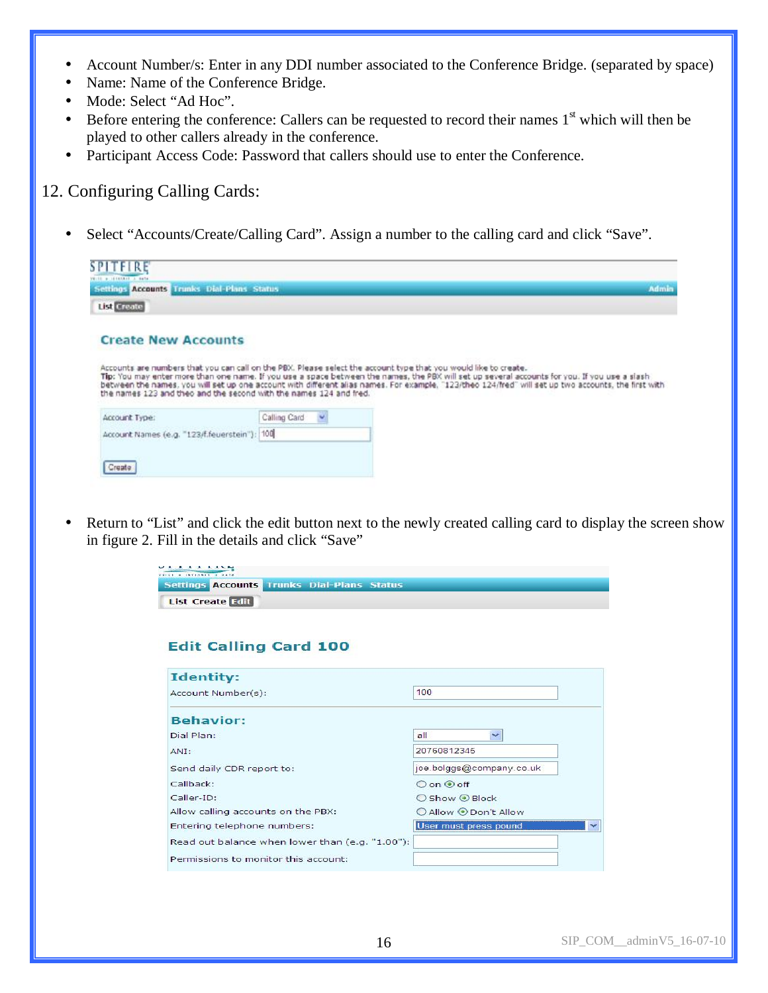- Account Number/s: Enter in any DDI number associated to the Conference Bridge. (separated by space)
- Name: Name of the Conference Bridge.
- Mode: Select "Ad Hoc".
- $\bullet$  Before entering the conference: Callers can be requested to record their names  $1<sup>st</sup>$  which will then be played to other callers already in the conference.
- Participant Access Code: Password that callers should use to enter the Conference.

## 12. Configuring Calling Cards:

• Select "Accounts/Create/Calling Card". Assign a number to the calling card and click "Save".

|              | Admin                                                                                                                                                                                                                                                                                                                                                                                                                     |
|--------------|---------------------------------------------------------------------------------------------------------------------------------------------------------------------------------------------------------------------------------------------------------------------------------------------------------------------------------------------------------------------------------------------------------------------------|
|              |                                                                                                                                                                                                                                                                                                                                                                                                                           |
|              |                                                                                                                                                                                                                                                                                                                                                                                                                           |
|              | Accounts are numbers that you can call on the PBX. Please select the account type that you would like to create.<br>Tip: You may enter more than one name. If you use a space between the names, the PBX will set up several accounts for you. If you use a slash<br>between the names, you will set up one account with different alias names. For example, "123/theo 124/fred" will set up two accounts, the first with |
| Calling Card |                                                                                                                                                                                                                                                                                                                                                                                                                           |
|              |                                                                                                                                                                                                                                                                                                                                                                                                                           |
|              |                                                                                                                                                                                                                                                                                                                                                                                                                           |
|              | Settings Accounts, Trunks Dial-Plans, Status,<br>the names 123 and theo and the second with the names 124 and fred.<br>Account Names (e.g. "123/f.feuerstein"): 100                                                                                                                                                                                                                                                       |

• Return to "List" and click the edit button next to the newly created calling card to display the screen show in figure 2. Fill in the details and click "Save"

| <b>Settings Accounts Trunks Dial-Plans Status</b> |                          |
|---------------------------------------------------|--------------------------|
| <b>List Create Edit</b>                           |                          |
|                                                   |                          |
|                                                   |                          |
| <b>Edit Calling Card 100</b>                      |                          |
|                                                   |                          |
| <b>Identity:</b>                                  |                          |
| Account Number(s):                                | 100                      |
| <b>Behavior:</b>                                  |                          |
| Dial Plan:                                        | all<br>$\checkmark$      |
| ANI:                                              | 20760812345              |
| Send daily CDR report to:                         | joe.bolggs@company.co.uk |
| Callback:                                         | $O$ on $\odot$ off       |
| Caller-ID:                                        | ○ Show ⊙ Block           |
| Allow calling accounts on the PBX:                | ○ Allow ⊙ Don't Allow    |
| Entering telephone numbers:                       | User must press pound    |
| Read out balance when lower than (e.g. "1.00"):   |                          |
| Permissions to monitor this account:              |                          |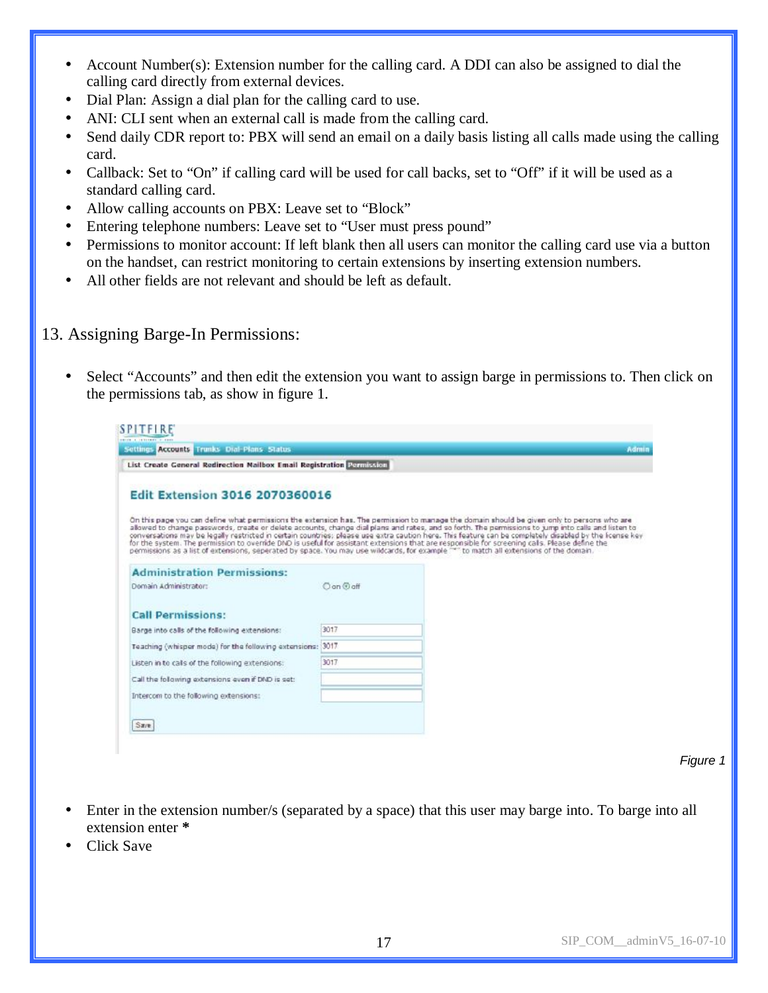- Account Number(s): Extension number for the calling card. A DDI can also be assigned to dial the calling card directly from external devices.
- Dial Plan: Assign a dial plan for the calling card to use.
- ANI: CLI sent when an external call is made from the calling card.
- Send daily CDR report to: PBX will send an email on a daily basis listing all calls made using the calling card.
- Callback: Set to "On" if calling card will be used for call backs, set to "Off" if it will be used as a standard calling card.
- Allow calling accounts on PBX: Leave set to "Block"
- Entering telephone numbers: Leave set to "User must press pound"
- Permissions to monitor account: If left blank then all users can monitor the calling card use via a button on the handset, can restrict monitoring to certain extensions by inserting extension numbers.
- All other fields are not relevant and should be left as default.

# 13. Assigning Barge-In Permissions:

• Select "Accounts" and then edit the extension you want to assign barge in permissions to. Then click on the permissions tab, as show in figure 1.

## **SPITFIRE**

| Settings Accounts Trunks Dial-Plans Status                                                                                                                                                                                                                                             |          | Admin                                                                                                                                                                                                                                                                                                                                                                                                                                                         |
|----------------------------------------------------------------------------------------------------------------------------------------------------------------------------------------------------------------------------------------------------------------------------------------|----------|---------------------------------------------------------------------------------------------------------------------------------------------------------------------------------------------------------------------------------------------------------------------------------------------------------------------------------------------------------------------------------------------------------------------------------------------------------------|
| List Create General Redirection Mailbox Email Registration Remission                                                                                                                                                                                                                   |          |                                                                                                                                                                                                                                                                                                                                                                                                                                                               |
| <b>Edit Extension 3016 2070360016</b>                                                                                                                                                                                                                                                  |          |                                                                                                                                                                                                                                                                                                                                                                                                                                                               |
| for the system. The permission to override DND is useful for assistant extensions that are responsible for screening cals. Please define the<br>permissions as a list of extensions, seperated by space. You may use wildcards, for example """ to match all extensions of the domain. |          | On this page you can define what permissions the extension has. The permission to manage the domain should be given only to persons who are<br>allowed to change passwords, create or delete accounts, change dial plans and rates, and so forth. The permissions to jump into calls and listen to<br>conversations may be legally restricted in certain countries; please use extra caution here. This feature can be completely disabled by the license key |
| <b>Administration Permissions:</b>                                                                                                                                                                                                                                                     |          |                                                                                                                                                                                                                                                                                                                                                                                                                                                               |
| Domain Administrator:                                                                                                                                                                                                                                                                  | Con @off |                                                                                                                                                                                                                                                                                                                                                                                                                                                               |
| <b>Call Permissions:</b>                                                                                                                                                                                                                                                               |          |                                                                                                                                                                                                                                                                                                                                                                                                                                                               |
| Barge into calls of the following extensions:                                                                                                                                                                                                                                          | 3017     |                                                                                                                                                                                                                                                                                                                                                                                                                                                               |
| Teaching (whisper mode) for the following extensions:                                                                                                                                                                                                                                  | 3017     |                                                                                                                                                                                                                                                                                                                                                                                                                                                               |
| Listen in to cals of the following extensions:                                                                                                                                                                                                                                         | 3017     |                                                                                                                                                                                                                                                                                                                                                                                                                                                               |
| Call the following extensions even if DND is set:                                                                                                                                                                                                                                      |          |                                                                                                                                                                                                                                                                                                                                                                                                                                                               |
| Intercom to the following extensions:                                                                                                                                                                                                                                                  |          |                                                                                                                                                                                                                                                                                                                                                                                                                                                               |
|                                                                                                                                                                                                                                                                                        |          |                                                                                                                                                                                                                                                                                                                                                                                                                                                               |
|                                                                                                                                                                                                                                                                                        |          |                                                                                                                                                                                                                                                                                                                                                                                                                                                               |

 *Figure 1* 

- Enter in the extension number/s (separated by a space) that this user may barge into. To barge into all extension enter **\***
- Click Save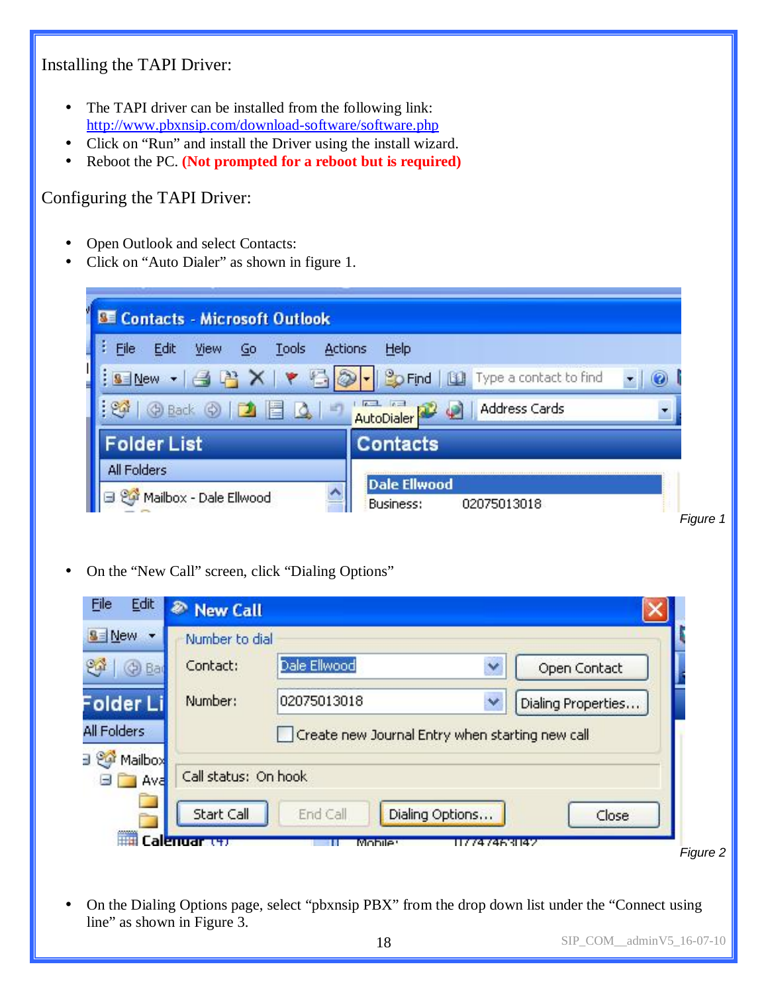# Installing the TAPI Driver:

- The TAPI driver can be installed from the following link: <http://www.pbxnsip.com/download-software/software.php>
- Click on "Run" and install the Driver using the install wizard.
- Reboot the PC. **(Not prompted for a reboot but is required)**

## Configuring the TAPI Driver:

- Open Outlook and select Contacts:
- Click on "Auto Dialer" as shown in figure 1.

| Edit<br>View<br><b>Actions</b><br>File<br>Tools<br>Go | Help                                                   |
|-------------------------------------------------------|--------------------------------------------------------|
| $-100$<br><b>New</b>                                  | <sup>9</sup> O Find<br>Type a contact to find<br>山     |
| 中 Back (c)<br>m                                       | <b>Address Cards</b><br>AutoDialer                     |
| <b>Folder List</b>                                    | <b>Contacts</b>                                        |
| All Folders<br>Mailbox - Dale Ellwood                 | <b>Dale Ellwood</b><br><b>Business:</b><br>02075013018 |

• On the "New Call" screen, click "Dialing Options"

| File                                  | Edit & New Call      |                                                 |              |                    |
|---------------------------------------|----------------------|-------------------------------------------------|--------------|--------------------|
| $S = New$<br>$\overline{\phantom{a}}$ | Number to dial       |                                                 |              |                    |
| ಳ<br><b>C</b> Bar                     | Contact:             | Dale Ellwood                                    | ×            | Open Contact       |
| Folder Li                             | Number:              | 02075013018                                     | v            | Dialing Properties |
| All Folders                           |                      | Create new Journal Entry when starting new call |              |                    |
| a @ Mailbox<br>Ava                    | Call status: On hook |                                                 |              |                    |
|                                       | Start Call           | Dialing Options<br>End Call                     |              | Close              |
| ₩                                     | <b>MILLIGA</b>       | Mobilet                                         | 117747468147 |                    |

• On the Dialing Options page, select "pbxnsip PBX" from the drop down list under the "Connect using line" as shown in Figure 3.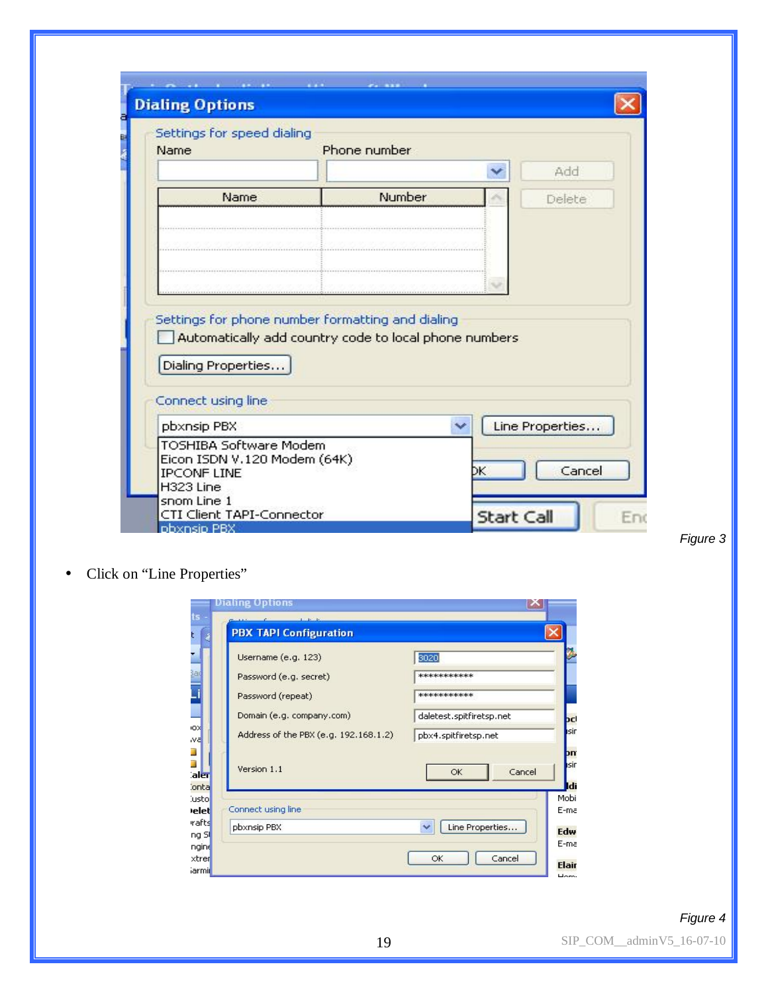| Settings for speed dialing<br>Name                            | Phone number |   |                 |
|---------------------------------------------------------------|--------------|---|-----------------|
|                                                               |              | v | Add             |
| Name                                                          | Number       |   | Delete          |
|                                                               |              |   |                 |
|                                                               |              |   |                 |
|                                                               |              |   |                 |
|                                                               |              |   |                 |
|                                                               |              |   |                 |
| Settings for phone number formatting and dialing              |              |   |                 |
| Automatically add country code to local phone numbers         |              |   |                 |
| Dialing Properties                                            |              |   |                 |
|                                                               |              |   |                 |
| Connect using line                                            |              |   |                 |
| pbxnsip PBX                                                   | v            |   | Line Properties |
| <b>TOSHIBA Software Modem</b><br>Eicon ISDN V.120 Modem (64K) |              |   | Cancel          |

• Click on "Line Properties"

| Username (e.g. 123)                   | 3020                     |
|---------------------------------------|--------------------------|
| Password (e.g. secret)                | ***********              |
| Password (repeat)                     | ***********              |
| Domain (e.g. company.com)             | daletest.spitfiretsp.net |
| Address of the PBX (e.g. 192.168.1.2) | pbx4.spitfiretsp.net     |
| Version 1.1                           | Cancel<br>OK             |
| Connect using line.                   |                          |
| pbxnsip PBX                           | Line Properties          |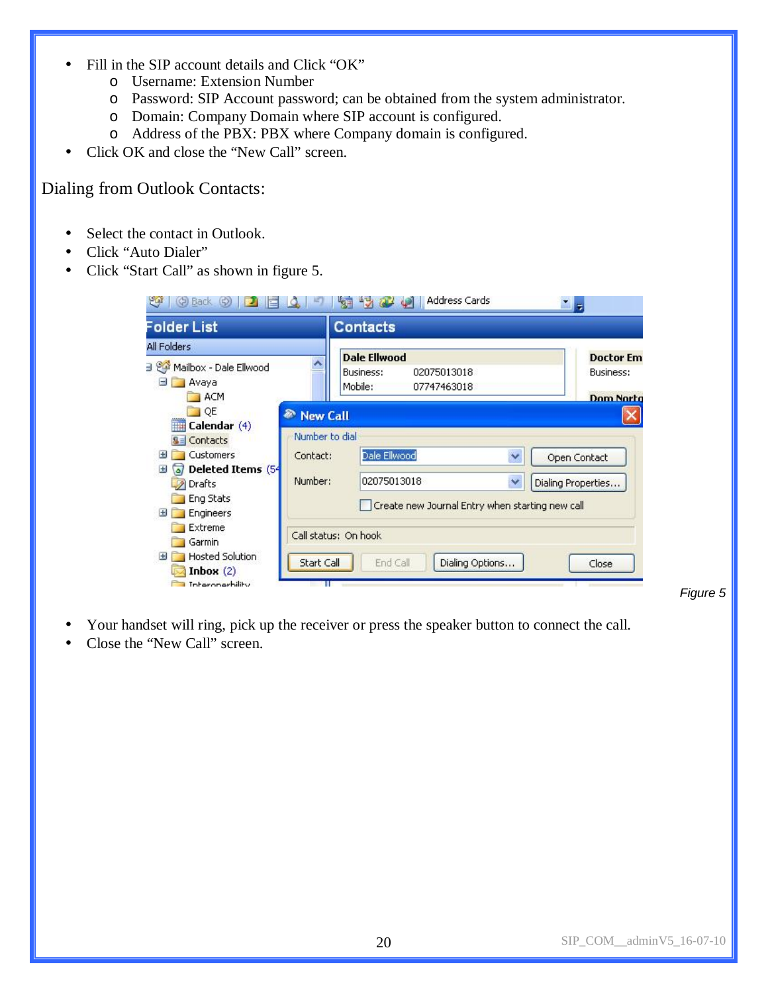- Fill in the SIP account details and Click "OK"
	- o Username: Extension Number
	- o Password: SIP Account password; can be obtained from the system administrator.
	- o Domain: Company Domain where SIP account is configured.
	- o Address of the PBX: PBX where Company domain is configured.
- Click OK and close the "New Call" screen.

## Dialing from Outlook Contacts:

- Select the contact in Outlook.
- Click "Auto Dialer"
- Click "Start Call" as shown in figure 5.

| Folder List                                                                        |                                                    | <b>Contacts</b>                                                                |                                                   |
|------------------------------------------------------------------------------------|----------------------------------------------------|--------------------------------------------------------------------------------|---------------------------------------------------|
| All Folders<br>3 SQ<br>Mailbox - Dale Ellwood<br>Avaya<br>ь<br>ACM                 |                                                    | <b>Dale Ellwood</b><br>Business:<br>02075013018<br>Mobile:<br>07747463018      | <b>Doctor Em</b><br>Business:<br><b>Dom Norto</b> |
| $\Box$ QE<br>Calendar (4)<br><b>THE</b><br>Contacts<br><b>Customers</b><br>н       | <b>New Call</b><br>₽<br>Number to dial<br>Contact: | Dale Ellwood<br>$\checkmark$                                                   | Open Contact                                      |
| Deleted Items (54<br>Đ<br>آھ<br>Drafts<br>Eng Stats<br>Engineers<br>$+$            | Number:                                            | 02075013018<br>$\checkmark$<br>Create new Journal Entry when starting new call | Dialing Properties                                |
| Extreme<br>Garmin<br>Hosted Solution<br>Đ<br>Inbox $(2)$<br><b>Interonarbility</b> | Start Call                                         | Call status: On hook<br>End Call<br>Dialing Options                            | Close                                             |

*Figure 5* 

- Your handset will ring, pick up the receiver or press the speaker button to connect the call.
- Close the "New Call" screen.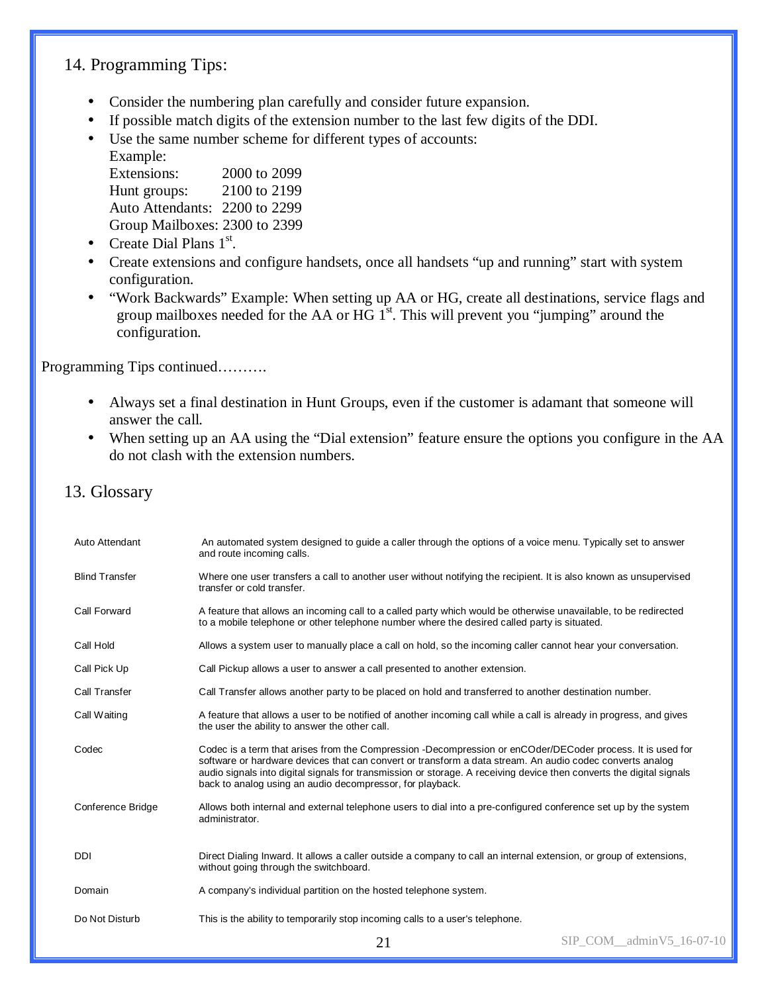## 14. Programming Tips:

- Consider the numbering plan carefully and consider future expansion.
- If possible match digits of the extension number to the last few digits of the DDI.
- Use the same number scheme for different types of accounts: Example:

| Extensions:                   | 2000 to 2099 |
|-------------------------------|--------------|
| Hunt groups:                  | 2100 to 2199 |
| Auto Attendants: 2200 to 2299 |              |
| Group Mailboxes: 2300 to 2399 |              |

- Create Dial Plans  $1<sup>st</sup>$ .
- Create extensions and configure handsets, once all handsets "up and running" start with system configuration.
- "Work Backwards" Example: When setting up AA or HG, create all destinations, service flags and group mailboxes needed for the AA or HG  $1<sup>st</sup>$ . This will prevent you "jumping" around the configuration.

Programming Tips continued……….

- Always set a final destination in Hunt Groups, even if the customer is adamant that someone will answer the call.
- When setting up an AA using the "Dial extension" feature ensure the options you configure in the AA do not clash with the extension numbers.
- 13. Glossary

| Auto Attendant        | An automated system designed to guide a caller through the options of a voice menu. Typically set to answer<br>and route incoming calls.                                                                                                                                                                                                                                                                    |                          |  |  |  |  |
|-----------------------|-------------------------------------------------------------------------------------------------------------------------------------------------------------------------------------------------------------------------------------------------------------------------------------------------------------------------------------------------------------------------------------------------------------|--------------------------|--|--|--|--|
| <b>Blind Transfer</b> | Where one user transfers a call to another user without notifying the recipient. It is also known as unsupervised<br>transfer or cold transfer.                                                                                                                                                                                                                                                             |                          |  |  |  |  |
| Call Forward          | A feature that allows an incoming call to a called party which would be otherwise unavailable, to be redirected<br>to a mobile telephone or other telephone number where the desired called party is situated.                                                                                                                                                                                              |                          |  |  |  |  |
| Call Hold             | Allows a system user to manually place a call on hold, so the incoming caller cannot hear your conversation.                                                                                                                                                                                                                                                                                                |                          |  |  |  |  |
| Call Pick Up          | Call Pickup allows a user to answer a call presented to another extension.                                                                                                                                                                                                                                                                                                                                  |                          |  |  |  |  |
| Call Transfer         | Call Transfer allows another party to be placed on hold and transferred to another destination number.                                                                                                                                                                                                                                                                                                      |                          |  |  |  |  |
| Call Waiting          | A feature that allows a user to be notified of another incoming call while a call is already in progress, and gives<br>the user the ability to answer the other call.                                                                                                                                                                                                                                       |                          |  |  |  |  |
| Codec                 | Codec is a term that arises from the Compression -Decompression or enCOder/DECoder process. It is used for<br>software or hardware devices that can convert or transform a data stream. An audio codec converts analog<br>audio signals into digital signals for transmission or storage. A receiving device then converts the digital signals<br>back to analog using an audio decompressor, for playback. |                          |  |  |  |  |
| Conference Bridge     | Allows both internal and external telephone users to dial into a pre-configured conference set up by the system<br>administrator.                                                                                                                                                                                                                                                                           |                          |  |  |  |  |
| <b>DDI</b>            | Direct Dialing Inward. It allows a caller outside a company to call an internal extension, or group of extensions,<br>without going through the switchboard.                                                                                                                                                                                                                                                |                          |  |  |  |  |
| Domain                | A company's individual partition on the hosted telephone system.                                                                                                                                                                                                                                                                                                                                            |                          |  |  |  |  |
| Do Not Disturb        | This is the ability to temporarily stop incoming calls to a user's telephone.                                                                                                                                                                                                                                                                                                                               |                          |  |  |  |  |
|                       | 21                                                                                                                                                                                                                                                                                                                                                                                                          | SIP COM adminV5 16-07-10 |  |  |  |  |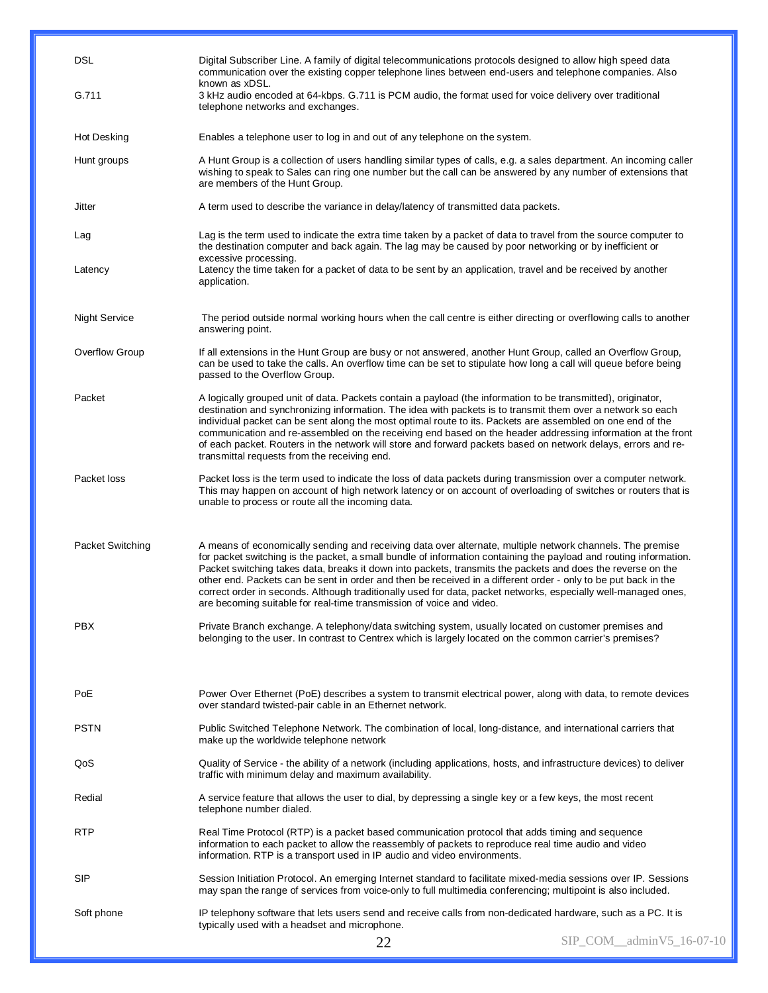| <b>DSL</b>           | Digital Subscriber Line. A family of digital telecommunications protocols designed to allow high speed data<br>communication over the existing copper telephone lines between end-users and telephone companies. Also<br>known as xDSL.                                                                                                                                                                                                                                                                                                                                                                                                                   |                          |
|----------------------|-----------------------------------------------------------------------------------------------------------------------------------------------------------------------------------------------------------------------------------------------------------------------------------------------------------------------------------------------------------------------------------------------------------------------------------------------------------------------------------------------------------------------------------------------------------------------------------------------------------------------------------------------------------|--------------------------|
| G.711                | 3 kHz audio encoded at 64-kbps. G.711 is PCM audio, the format used for voice delivery over traditional<br>telephone networks and exchanges.                                                                                                                                                                                                                                                                                                                                                                                                                                                                                                              |                          |
| <b>Hot Desking</b>   | Enables a telephone user to log in and out of any telephone on the system.                                                                                                                                                                                                                                                                                                                                                                                                                                                                                                                                                                                |                          |
| Hunt groups          | A Hunt Group is a collection of users handling similar types of calls, e.g. a sales department. An incoming caller<br>wishing to speak to Sales can ring one number but the call can be answered by any number of extensions that<br>are members of the Hunt Group.                                                                                                                                                                                                                                                                                                                                                                                       |                          |
| Jitter               | A term used to describe the variance in delay/latency of transmitted data packets.                                                                                                                                                                                                                                                                                                                                                                                                                                                                                                                                                                        |                          |
| Lag                  | Lag is the term used to indicate the extra time taken by a packet of data to travel from the source computer to<br>the destination computer and back again. The lag may be caused by poor networking or by inefficient or<br>excessive processing.                                                                                                                                                                                                                                                                                                                                                                                                        |                          |
| Latency              | Latency the time taken for a packet of data to be sent by an application, travel and be received by another<br>application.                                                                                                                                                                                                                                                                                                                                                                                                                                                                                                                               |                          |
| <b>Night Service</b> | The period outside normal working hours when the call centre is either directing or overflowing calls to another<br>answering point.                                                                                                                                                                                                                                                                                                                                                                                                                                                                                                                      |                          |
| Overflow Group       | If all extensions in the Hunt Group are busy or not answered, another Hunt Group, called an Overflow Group,<br>can be used to take the calls. An overflow time can be set to stipulate how long a call will queue before being<br>passed to the Overflow Group.                                                                                                                                                                                                                                                                                                                                                                                           |                          |
| Packet               | A logically grouped unit of data. Packets contain a payload (the information to be transmitted), originator,<br>destination and synchronizing information. The idea with packets is to transmit them over a network so each<br>individual packet can be sent along the most optimal route to its. Packets are assembled on one end of the<br>communication and re-assembled on the receiving end based on the header addressing information at the front<br>of each packet. Routers in the network will store and forward packets based on network delays, errors and re-<br>transmittal requests from the receiving end.                                 |                          |
| Packet loss          | Packet loss is the term used to indicate the loss of data packets during transmission over a computer network.<br>This may happen on account of high network latency or on account of overloading of switches or routers that is<br>unable to process or route all the incoming data.                                                                                                                                                                                                                                                                                                                                                                     |                          |
| Packet Switching     | A means of economically sending and receiving data over alternate, multiple network channels. The premise<br>for packet switching is the packet, a small bundle of information containing the payload and routing information.<br>Packet switching takes data, breaks it down into packets, transmits the packets and does the reverse on the<br>other end. Packets can be sent in order and then be received in a different order - only to be put back in the<br>correct order in seconds. Although traditionally used for data, packet networks, especially well-managed ones,<br>are becoming suitable for real-time transmission of voice and video. |                          |
| <b>PBX</b>           | Private Branch exchange. A telephony/data switching system, usually located on customer premises and<br>belonging to the user. In contrast to Centrex which is largely located on the common carrier's premises?                                                                                                                                                                                                                                                                                                                                                                                                                                          |                          |
|                      |                                                                                                                                                                                                                                                                                                                                                                                                                                                                                                                                                                                                                                                           |                          |
| PoE                  | Power Over Ethernet (PoE) describes a system to transmit electrical power, along with data, to remote devices<br>over standard twisted-pair cable in an Ethernet network.                                                                                                                                                                                                                                                                                                                                                                                                                                                                                 |                          |
| <b>PSTN</b>          | Public Switched Telephone Network. The combination of local, long-distance, and international carriers that<br>make up the worldwide telephone network                                                                                                                                                                                                                                                                                                                                                                                                                                                                                                    |                          |
| QoS                  | Quality of Service - the ability of a network (including applications, hosts, and infrastructure devices) to deliver<br>traffic with minimum delay and maximum availability.                                                                                                                                                                                                                                                                                                                                                                                                                                                                              |                          |
| Redial               | A service feature that allows the user to dial, by depressing a single key or a few keys, the most recent<br>telephone number dialed.                                                                                                                                                                                                                                                                                                                                                                                                                                                                                                                     |                          |
| <b>RTP</b>           | Real Time Protocol (RTP) is a packet based communication protocol that adds timing and sequence<br>information to each packet to allow the reassembly of packets to reproduce real time audio and video<br>information. RTP is a transport used in IP audio and video environments.                                                                                                                                                                                                                                                                                                                                                                       |                          |
| <b>SIP</b>           | Session Initiation Protocol. An emerging Internet standard to facilitate mixed-media sessions over IP. Sessions<br>may span the range of services from voice-only to full multimedia conferencing; multipoint is also included.                                                                                                                                                                                                                                                                                                                                                                                                                           |                          |
| Soft phone           | IP telephony software that lets users send and receive calls from non-dedicated hardware, such as a PC. It is<br>typically used with a headset and microphone.                                                                                                                                                                                                                                                                                                                                                                                                                                                                                            |                          |
|                      | 22                                                                                                                                                                                                                                                                                                                                                                                                                                                                                                                                                                                                                                                        | SIP_COM_adminV5_16-07-10 |